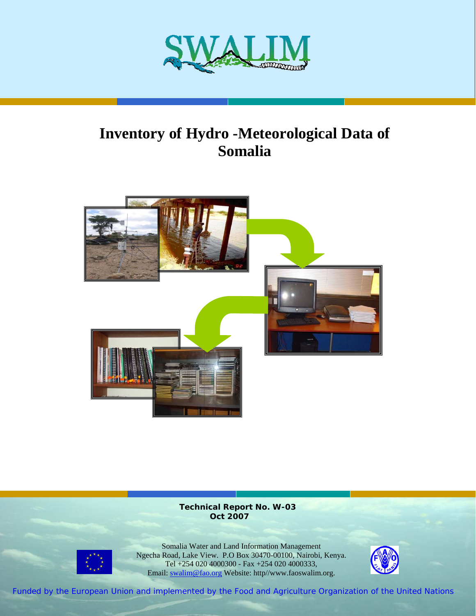

# **Inventory of Hydro -Meteorological Data of Somalia**



**Technical Report No. W-03 Oct 2007** 



Somalia Water and Land Information Management Ngecha Road, Lake View. P.O Box 30470-00100, Nairobi, Kenya. Tel +254 020 4000300 - Fax +254 020 4000333, Email: swalim@fao.org Website: http//www.faoswalim.org.



Funded by the European Union and implemented by the Food and Agriculture Organization of the United Nations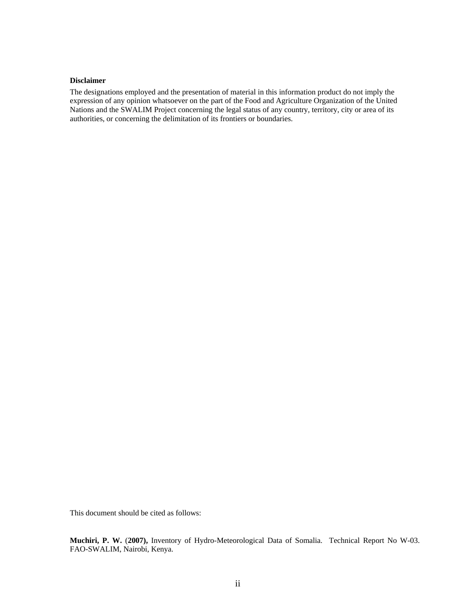#### **Disclaimer**

The designations employed and the presentation of material in this information product do not imply the expression of any opinion whatsoever on the part of the Food and Agriculture Organization of the United Nations and the SWALIM Project concerning the legal status of any country, territory, city or area of its authorities, or concerning the delimitation of its frontiers or boundaries.

This document should be cited as follows:

**Muchiri, P. W.** (**2007),** Inventory of Hydro-Meteorological Data of Somalia. Technical Report No W-03. FAO-SWALIM, Nairobi, Kenya.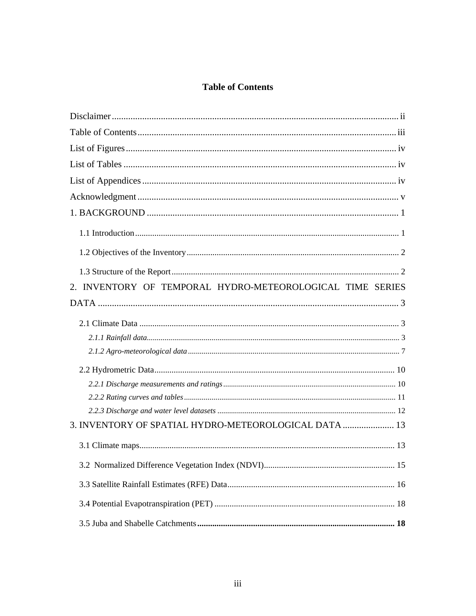### **Table of Contents**

| 2. INVENTORY OF TEMPORAL HYDRO-METEOROLOGICAL TIME SERIES |
|-----------------------------------------------------------|
|                                                           |
|                                                           |
|                                                           |
|                                                           |
|                                                           |
|                                                           |
|                                                           |
|                                                           |
| 3. INVENTORY OF SPATIAL HYDRO-METEOROLOGICAL DATA  13     |
|                                                           |
|                                                           |
|                                                           |
|                                                           |
|                                                           |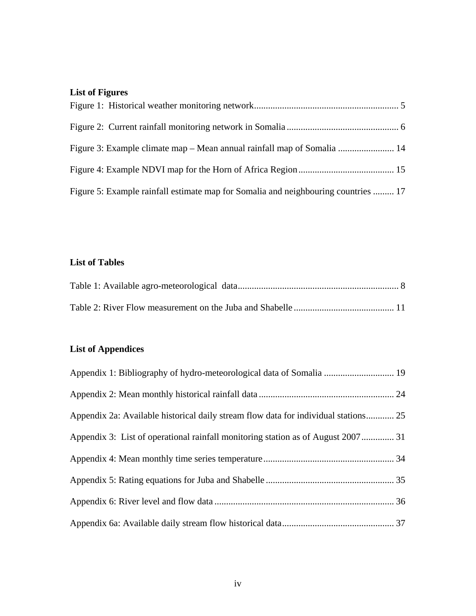## **List of Figures**

| Figure 5: Example rainfall estimate map for Somalia and neighbouring countries  17 |  |
|------------------------------------------------------------------------------------|--|

#### **List of Tables**

## **List of Appendices**

| Appendix 2a: Available historical daily stream flow data for individual stations 25 |  |
|-------------------------------------------------------------------------------------|--|
| Appendix 3: List of operational rainfall monitoring station as of August 2007 31    |  |
|                                                                                     |  |
|                                                                                     |  |
|                                                                                     |  |
|                                                                                     |  |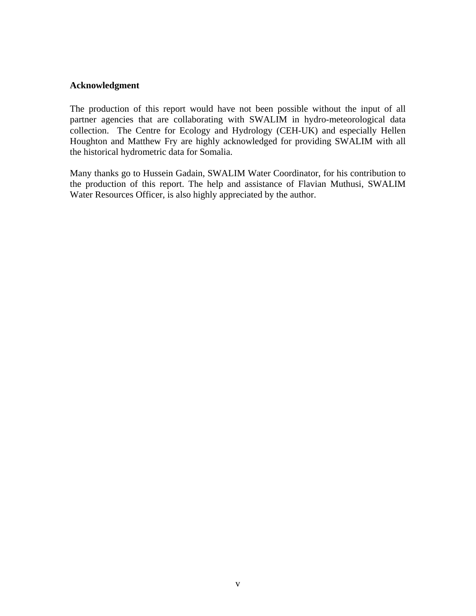#### **Acknowledgment**

The production of this report would have not been possible without the input of all partner agencies that are collaborating with SWALIM in hydro-meteorological data collection. The Centre for Ecology and Hydrology (CEH-UK) and especially Hellen Houghton and Matthew Fry are highly acknowledged for providing SWALIM with all the historical hydrometric data for Somalia.

Many thanks go to Hussein Gadain, SWALIM Water Coordinator, for his contribution to the production of this report. The help and assistance of Flavian Muthusi, SWALIM Water Resources Officer, is also highly appreciated by the author.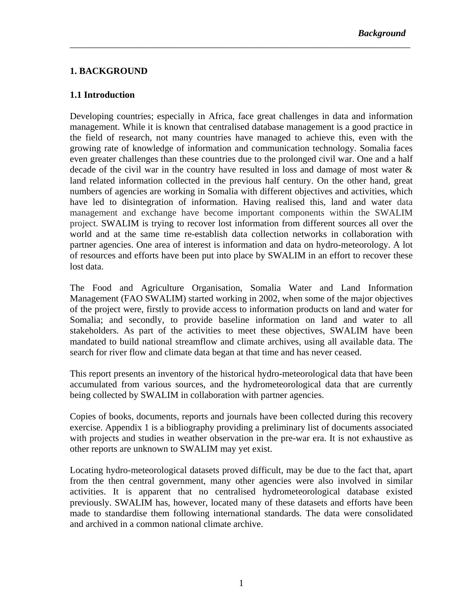#### **1. BACKGROUND**

#### **1.1 Introduction**

Developing countries; especially in Africa, face great challenges in data and information management. While it is known that centralised database management is a good practice in the field of research, not many countries have managed to achieve this, even with the growing rate of knowledge of information and communication technology. Somalia faces even greater challenges than these countries due to the prolonged civil war. One and a half decade of the civil war in the country have resulted in loss and damage of most water & land related information collected in the previous half century. On the other hand, great numbers of agencies are working in Somalia with different objectives and activities, which have led to disintegration of information. Having realised this, land and water data management and exchange have become important components within the SWALIM project. SWALIM is trying to recover lost information from different sources all over the world and at the same time re-establish data collection networks in collaboration with partner agencies. One area of interest is information and data on hydro-meteorology. A lot of resources and efforts have been put into place by SWALIM in an effort to recover these lost data.

\_\_\_\_\_\_\_\_\_\_\_\_\_\_\_\_\_\_\_\_\_\_\_\_\_\_\_\_\_\_\_\_\_\_\_\_\_\_\_\_\_\_\_\_\_\_\_\_\_\_\_\_\_\_\_\_\_\_\_\_\_\_\_\_\_\_\_\_\_\_\_\_\_

The Food and Agriculture Organisation, Somalia Water and Land Information Management (FAO SWALIM) started working in 2002, when some of the major objectives of the project were, firstly to provide access to information products on land and water for Somalia; and secondly, to provide baseline information on land and water to all stakeholders. As part of the activities to meet these objectives, SWALIM have been mandated to build national streamflow and climate archives, using all available data. The search for river flow and climate data began at that time and has never ceased.

This report presents an inventory of the historical hydro-meteorological data that have been accumulated from various sources, and the hydrometeorological data that are currently being collected by SWALIM in collaboration with partner agencies.

Copies of books, documents, reports and journals have been collected during this recovery exercise. Appendix 1 is a bibliography providing a preliminary list of documents associated with projects and studies in weather observation in the pre-war era. It is not exhaustive as other reports are unknown to SWALIM may yet exist.

Locating hydro-meteorological datasets proved difficult, may be due to the fact that, apart from the then central government, many other agencies were also involved in similar activities. It is apparent that no centralised hydrometeorological database existed previously. SWALIM has, however, located many of these datasets and efforts have been made to standardise them following international standards. The data were consolidated and archived in a common national climate archive.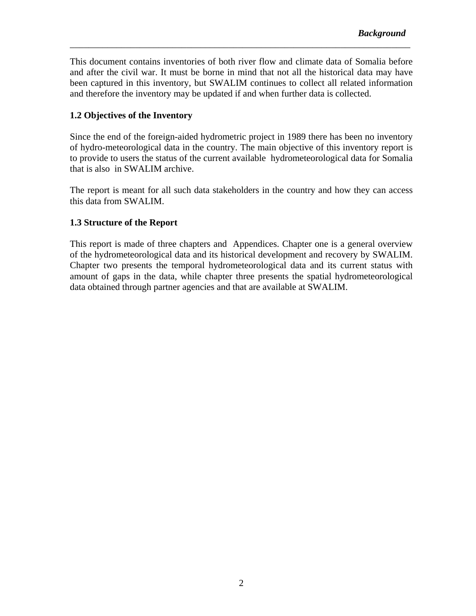This document contains inventories of both river flow and climate data of Somalia before and after the civil war. It must be borne in mind that not all the historical data may have been captured in this inventory, but SWALIM continues to collect all related information and therefore the inventory may be updated if and when further data is collected.

\_\_\_\_\_\_\_\_\_\_\_\_\_\_\_\_\_\_\_\_\_\_\_\_\_\_\_\_\_\_\_\_\_\_\_\_\_\_\_\_\_\_\_\_\_\_\_\_\_\_\_\_\_\_\_\_\_\_\_\_\_\_\_\_\_\_\_\_\_\_\_\_\_

#### **1.2 Objectives of the Inventory**

Since the end of the foreign-aided hydrometric project in 1989 there has been no inventory of hydro-meteorological data in the country. The main objective of this inventory report is to provide to users the status of the current available hydrometeorological data for Somalia that is also in SWALIM archive.

The report is meant for all such data stakeholders in the country and how they can access this data from SWALIM.

#### **1.3 Structure of the Report**

This report is made of three chapters and Appendices. Chapter one is a general overview of the hydrometeorological data and its historical development and recovery by SWALIM. Chapter two presents the temporal hydrometeorological data and its current status with amount of gaps in the data, while chapter three presents the spatial hydrometeorological data obtained through partner agencies and that are available at SWALIM.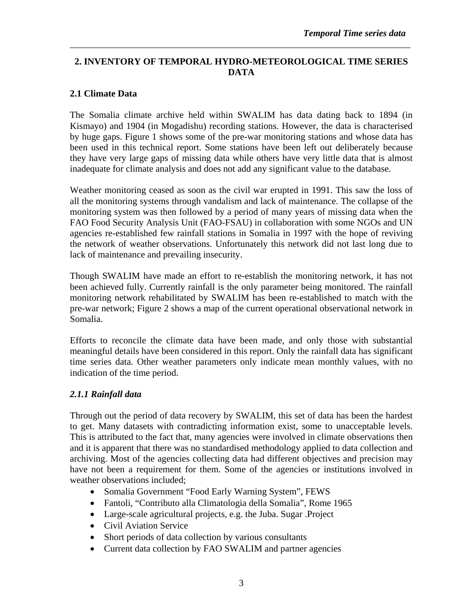#### **2. INVENTORY OF TEMPORAL HYDRO-METEOROLOGICAL TIME SERIES DATA**

\_\_\_\_\_\_\_\_\_\_\_\_\_\_\_\_\_\_\_\_\_\_\_\_\_\_\_\_\_\_\_\_\_\_\_\_\_\_\_\_\_\_\_\_\_\_\_\_\_\_\_\_\_\_\_\_\_\_\_\_\_\_\_\_\_\_\_\_\_\_\_\_\_

#### **2.1 Climate Data**

The Somalia climate archive held within SWALIM has data dating back to 1894 (in Kismayo) and 1904 (in Mogadishu) recording stations. However, the data is characterised by huge gaps. Figure 1 shows some of the pre-war monitoring stations and whose data has been used in this technical report. Some stations have been left out deliberately because they have very large gaps of missing data while others have very little data that is almost inadequate for climate analysis and does not add any significant value to the database.

Weather monitoring ceased as soon as the civil war erupted in 1991. This saw the loss of all the monitoring systems through vandalism and lack of maintenance. The collapse of the monitoring system was then followed by a period of many years of missing data when the FAO Food Security Analysis Unit (FAO-FSAU) in collaboration with some NGOs and UN agencies re-established few rainfall stations in Somalia in 1997 with the hope of reviving the network of weather observations. Unfortunately this network did not last long due to lack of maintenance and prevailing insecurity.

Though SWALIM have made an effort to re-establish the monitoring network, it has not been achieved fully. Currently rainfall is the only parameter being monitored. The rainfall monitoring network rehabilitated by SWALIM has been re-established to match with the pre-war network; Figure 2 shows a map of the current operational observational network in Somalia.

Efforts to reconcile the climate data have been made, and only those with substantial meaningful details have been considered in this report. Only the rainfall data has significant time series data. Other weather parameters only indicate mean monthly values, with no indication of the time period.

#### *2.1.1 Rainfall data*

Through out the period of data recovery by SWALIM, this set of data has been the hardest to get. Many datasets with contradicting information exist, some to unacceptable levels. This is attributed to the fact that, many agencies were involved in climate observations then and it is apparent that there was no standardised methodology applied to data collection and archiving. Most of the agencies collecting data had different objectives and precision may have not been a requirement for them. Some of the agencies or institutions involved in weather observations included;

- Somalia Government "Food Early Warning System", FEWS
- Fantoli, "Contributo alla Climatologia della Somalia", Rome 1965
- Large-scale agricultural projects, e.g. the Juba. Sugar .Project
- Civil Aviation Service
- Short periods of data collection by various consultants
- Current data collection by FAO SWALIM and partner agencies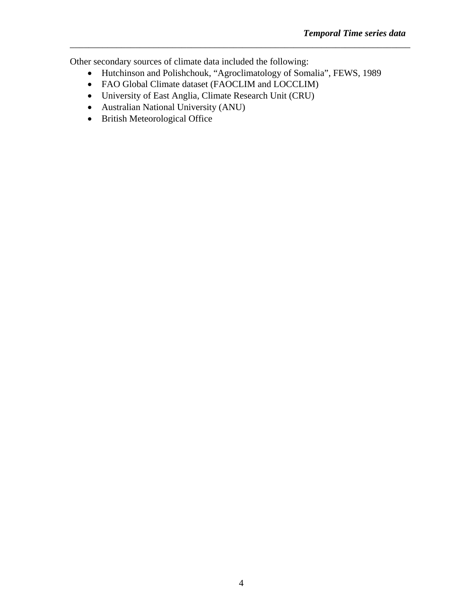Other secondary sources of climate data included the following:

• Hutchinson and Polishchouk, "Agroclimatology of Somalia", FEWS, 1989

- FAO Global Climate dataset (FAOCLIM and LOCCLIM)
- University of East Anglia, Climate Research Unit (CRU)
- Australian National University (ANU)
- British Meteorological Office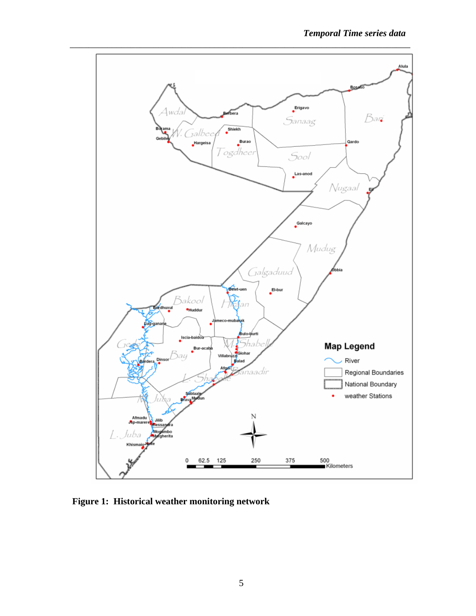

**Figure 1: Historical weather monitoring network**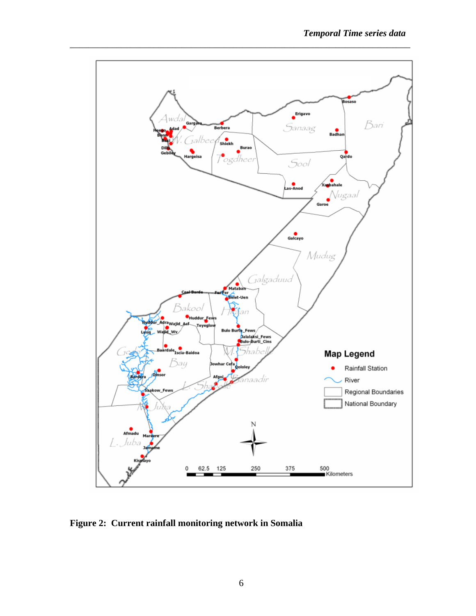

**Figure 2: Current rainfall monitoring network in Somalia**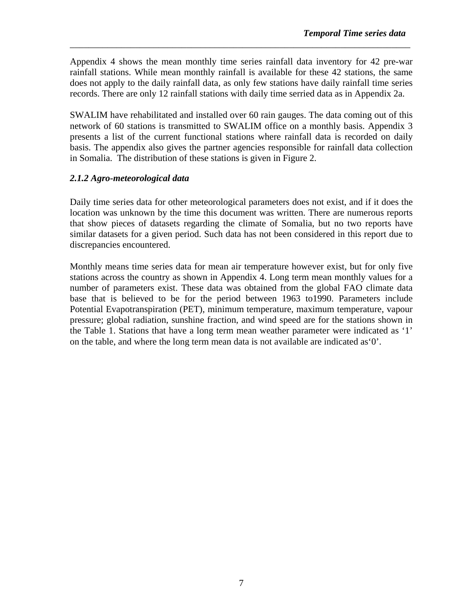Appendix 4 shows the mean monthly time series rainfall data inventory for 42 pre-war rainfall stations. While mean monthly rainfall is available for these 42 stations, the same does not apply to the daily rainfall data, as only few stations have daily rainfall time series records. There are only 12 rainfall stations with daily time serried data as in Appendix 2a.

\_\_\_\_\_\_\_\_\_\_\_\_\_\_\_\_\_\_\_\_\_\_\_\_\_\_\_\_\_\_\_\_\_\_\_\_\_\_\_\_\_\_\_\_\_\_\_\_\_\_\_\_\_\_\_\_\_\_\_\_\_\_\_\_\_\_\_\_\_\_\_\_\_

SWALIM have rehabilitated and installed over 60 rain gauges. The data coming out of this network of 60 stations is transmitted to SWALIM office on a monthly basis. Appendix 3 presents a list of the current functional stations where rainfall data is recorded on daily basis. The appendix also gives the partner agencies responsible for rainfall data collection in Somalia. The distribution of these stations is given in Figure 2.

#### *2.1.2 Agro-meteorological data*

Daily time series data for other meteorological parameters does not exist, and if it does the location was unknown by the time this document was written. There are numerous reports that show pieces of datasets regarding the climate of Somalia, but no two reports have similar datasets for a given period. Such data has not been considered in this report due to discrepancies encountered.

Monthly means time series data for mean air temperature however exist, but for only five stations across the country as shown in Appendix 4. Long term mean monthly values for a number of parameters exist. These data was obtained from the global FAO climate data base that is believed to be for the period between 1963 to1990. Parameters include Potential Evapotranspiration (PET), minimum temperature, maximum temperature, vapour pressure; global radiation, sunshine fraction, and wind speed are for the stations shown in the Table 1. Stations that have a long term mean weather parameter were indicated as '1' on the table, and where the long term mean data is not available are indicated as'0'.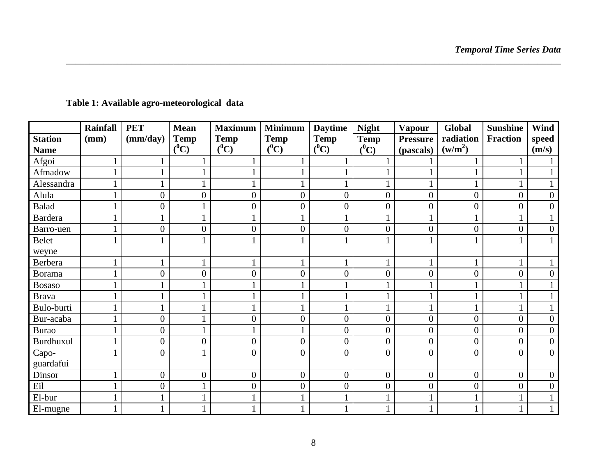|                | <b>Rainfall</b> | <b>PET</b>       | <b>Mean</b>      | <b>Maximum</b>   | <b>Minimum</b>   | <b>Daytime</b> | <b>Night</b>     | <b>Vapour</b>   | <b>Global</b>       | <b>Sunshine</b>  | Wind             |
|----------------|-----------------|------------------|------------------|------------------|------------------|----------------|------------------|-----------------|---------------------|------------------|------------------|
| <b>Station</b> | (mm)            | (mm/day)         | <b>Temp</b>      | <b>Temp</b>      | <b>Temp</b>      | <b>Temp</b>    | <b>Temp</b>      | <b>Pressure</b> | radiation           | <b>Fraction</b>  | speed            |
| <b>Name</b>    |                 |                  | $(^0C)$          | $(^0C)$          | $(^0C)$          | $(^0C)$        | $(^0C)$          | (pascals)       | (w/m <sup>2</sup> ) |                  | (m/s)            |
| Afgoi          |                 |                  |                  |                  |                  |                |                  |                 |                     |                  |                  |
| Afmadow        |                 |                  |                  |                  |                  |                |                  |                 |                     |                  |                  |
| Alessandra     |                 |                  |                  |                  |                  |                |                  |                 |                     |                  |                  |
| Alula          |                 | 0                | $\overline{0}$   | $\boldsymbol{0}$ | $\overline{0}$   | $\overline{0}$ | $\overline{0}$   | $\overline{0}$  | $\overline{0}$      | $\boldsymbol{0}$ | $\mathbf{0}$     |
| <b>Balad</b>   |                 | 0                |                  | $\overline{0}$   | $\boldsymbol{0}$ | 0              | $\overline{0}$   | $\overline{0}$  | $\overline{0}$      | $\overline{0}$   | $\mathbf{0}$     |
| <b>Bardera</b> |                 |                  |                  |                  |                  |                |                  |                 |                     |                  |                  |
| Barro-uen      |                 | $\boldsymbol{0}$ | $\overline{0}$   | $\overline{0}$   | $\overline{0}$   | $\overline{0}$ | $\overline{0}$   | $\overline{0}$  | $\overline{0}$      | $\boldsymbol{0}$ | $\overline{0}$   |
| Belet          |                 |                  |                  |                  |                  |                |                  |                 |                     |                  |                  |
| weyne          |                 |                  |                  |                  |                  |                |                  |                 |                     |                  |                  |
| <b>Berbera</b> |                 |                  |                  |                  |                  |                |                  |                 |                     | 1                |                  |
| <b>Borama</b>  |                 | $\overline{0}$   | $\overline{0}$   | $\overline{0}$   | $\overline{0}$   | $\overline{0}$ | $\overline{0}$   | $\overline{0}$  | $\overline{0}$      | $\overline{0}$   | $\mathbf{0}$     |
| <b>Bosaso</b>  |                 |                  |                  |                  |                  |                |                  |                 |                     |                  |                  |
| <b>Brava</b>   |                 |                  |                  |                  |                  |                |                  |                 |                     | 1                |                  |
| Bulo-burti     |                 |                  |                  |                  |                  |                |                  |                 |                     |                  |                  |
| Bur-acaba      |                 | 0                |                  | $\overline{0}$   | $\overline{0}$   | $\overline{0}$ | $\overline{0}$   | $\overline{0}$  | $\overline{0}$      | $\boldsymbol{0}$ | $\mathbf{0}$     |
| <b>Burao</b>   |                 | 0                |                  |                  |                  | 0              | $\overline{0}$   | $\overline{0}$  | $\overline{0}$      | $\overline{0}$   | $\mathbf{0}$     |
| Burdhuxul      |                 | $\overline{0}$   | $\boldsymbol{0}$ | $\overline{0}$   | $\boldsymbol{0}$ | $\overline{0}$ | $\boldsymbol{0}$ | $\overline{0}$  | $\boldsymbol{0}$    | $\boldsymbol{0}$ | $\boldsymbol{0}$ |
| Capo-          |                 | $\overline{0}$   |                  | $\overline{0}$   | $\overline{0}$   | 0              | $\overline{0}$   | $\theta$        | $\overline{0}$      | $\overline{0}$   | $\overline{0}$   |
| guardafui      |                 |                  |                  |                  |                  |                |                  |                 |                     |                  |                  |
| Dinsor         |                 | $\overline{0}$   | $\overline{0}$   | $\overline{0}$   | $\overline{0}$   | $\overline{0}$ | $\overline{0}$   | $\overline{0}$  | $\overline{0}$      | $\mathbf{0}$     | $\mathbf{0}$     |
| Eil            |                 | $\overline{0}$   |                  | $\boldsymbol{0}$ | $\overline{0}$   | $\overline{0}$ | $\overline{0}$   | $\overline{0}$  | $\overline{0}$      | $\boldsymbol{0}$ | $\mathbf{0}$     |
| El-bur         |                 |                  |                  |                  |                  |                |                  |                 |                     |                  |                  |
| El-mugne       |                 |                  |                  |                  |                  |                |                  |                 |                     |                  |                  |

## **Table 1: Available agro-meteorological data**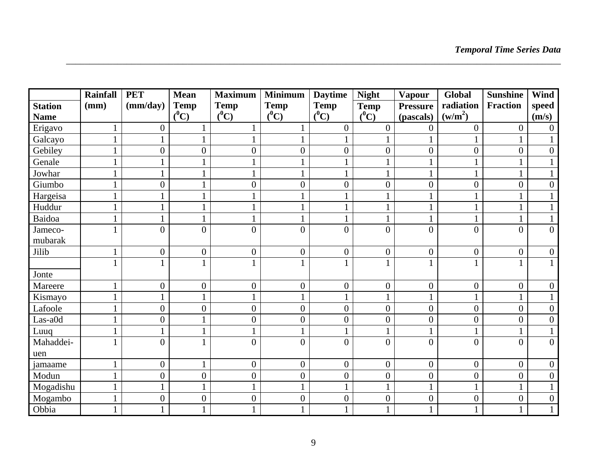|                | <b>Rainfall</b> | <b>PET</b>       | <b>Mean</b>      | <b>Maximum</b>   | <b>Minimum</b>   | <b>Daytime</b>   | <b>Night</b>     | Vapour           | Global              | <b>Sunshine</b>  | Wind             |
|----------------|-----------------|------------------|------------------|------------------|------------------|------------------|------------------|------------------|---------------------|------------------|------------------|
| <b>Station</b> | (mm)            | (mm/day)         | <b>Temp</b>      | <b>Temp</b>      | <b>Temp</b>      | <b>Temp</b>      | <b>Temp</b>      | <b>Pressure</b>  | radiation           | <b>Fraction</b>  | speed            |
| <b>Name</b>    |                 |                  | $(^0C)$          | $(^0C)$          | $(^0C)$          | $(^0C)$          | $(^0C)$          | (pascals)        | (w/m <sup>2</sup> ) |                  | (m/s)            |
| Erigavo        |                 | $\overline{0}$   |                  |                  | $\mathbf{1}$     | $\overline{0}$   | $\overline{0}$   | $\overline{0}$   | $\boldsymbol{0}$    | $\boldsymbol{0}$ | $\boldsymbol{0}$ |
| Galcayo        | $\mathbf{1}$    | $\mathbf{1}$     | $\mathbf{1}$     |                  | $\mathbf{1}$     |                  |                  |                  |                     |                  | $\mathbf{1}$     |
| Gebiley        | $\mathbf{1}$    | $\overline{0}$   | $\boldsymbol{0}$ | $\boldsymbol{0}$ | $\boldsymbol{0}$ | $\boldsymbol{0}$ | $\boldsymbol{0}$ | $\boldsymbol{0}$ | $\boldsymbol{0}$    | $\overline{0}$   | $\boldsymbol{0}$ |
| Genale         | $\mathbf{1}$    |                  |                  |                  | $\mathbf{1}$     |                  |                  |                  |                     |                  | $\mathbf{1}$     |
| Jowhar         |                 |                  |                  |                  |                  |                  |                  |                  |                     |                  | $\mathbf{1}$     |
| Giumbo         | $\mathbf{1}$    | $\overline{0}$   |                  | $\boldsymbol{0}$ | $\boldsymbol{0}$ | $\overline{0}$   | $\boldsymbol{0}$ | $\overline{0}$   | $\boldsymbol{0}$    | $\overline{0}$   | $\boldsymbol{0}$ |
| Hargeisa       |                 |                  |                  |                  |                  |                  |                  |                  |                     |                  | $\mathbf{1}$     |
| Huddur         | $\mathbf{1}$    |                  |                  |                  |                  |                  |                  |                  |                     |                  | $\mathbf{1}$     |
| Baidoa         | $\mathbf{1}$    | $\mathbf{1}$     |                  | $\mathbf{1}$     | $\mathbf{1}$     |                  |                  | 1                |                     | $\mathbf{1}$     | $\mathbf{1}$     |
| Jameco-        |                 | $\overline{0}$   | $\overline{0}$   | $\overline{0}$   | $\overline{0}$   | $\overline{0}$   | $\overline{0}$   | $\overline{0}$   | $\overline{0}$      | $\overline{0}$   | $\mathbf{0}$     |
| mubarak        |                 |                  |                  |                  |                  |                  |                  |                  |                     |                  |                  |
| Jilib          | 1               | $\boldsymbol{0}$ | $\boldsymbol{0}$ | $\boldsymbol{0}$ | $\boldsymbol{0}$ | $\boldsymbol{0}$ | $\boldsymbol{0}$ | $\overline{0}$   | $\boldsymbol{0}$    | $\boldsymbol{0}$ | $\boldsymbol{0}$ |
|                |                 | 1                |                  | 1                | $\mathbf{1}$     |                  |                  |                  |                     |                  | $\mathbf{1}$     |
| Jonte          |                 |                  |                  |                  |                  |                  |                  |                  |                     |                  |                  |
| Mareere        |                 | $\overline{0}$   | $\boldsymbol{0}$ | $\boldsymbol{0}$ | $\boldsymbol{0}$ | $\overline{0}$   | $\boldsymbol{0}$ | $\overline{0}$   | $\boldsymbol{0}$    | $\boldsymbol{0}$ | $\boldsymbol{0}$ |
| Kismayo        |                 | 1                |                  | $\mathbf{1}$     |                  |                  |                  |                  |                     |                  | $\mathbf{1}$     |
| Lafoole        |                 | $\overline{0}$   | $\overline{0}$   | $\boldsymbol{0}$ | $\boldsymbol{0}$ | $\boldsymbol{0}$ | $\boldsymbol{0}$ | $\boldsymbol{0}$ | $\boldsymbol{0}$    | $\overline{0}$   | $\boldsymbol{0}$ |
| Las-a0d        |                 | $\overline{0}$   |                  | $\overline{0}$   | $\boldsymbol{0}$ | $\overline{0}$   | $\boldsymbol{0}$ | $\overline{0}$   | $\boldsymbol{0}$    | $\overline{0}$   | $\boldsymbol{0}$ |
| Luuq           |                 | 1                | $\mathbf{1}$     | $\mathbf{1}$     | $\mathbf{1}$     |                  |                  |                  |                     |                  | $\mathbf{1}$     |
| Mahaddei-      |                 | $\overline{0}$   |                  | $\overline{0}$   | $\overline{0}$   | $\theta$         | $\overline{0}$   | $\theta$         | $\overline{0}$      | $\theta$         | $\overline{0}$   |
| uen            |                 |                  |                  |                  |                  |                  |                  |                  |                     |                  |                  |
| jamaame        |                 | $\overline{0}$   |                  | $\overline{0}$   | $\boldsymbol{0}$ | $\overline{0}$   | $\overline{0}$   | $\overline{0}$   | $\overline{0}$      | $\overline{0}$   | $\boldsymbol{0}$ |
| Modun          | $\mathbf{1}$    | $\overline{0}$   | $\boldsymbol{0}$ | $\overline{0}$   | $\boldsymbol{0}$ | $\overline{0}$   | $\boldsymbol{0}$ | $\overline{0}$   | $\overline{0}$      | $\overline{0}$   | $\boldsymbol{0}$ |
| Mogadishu      |                 |                  | $\mathbf{1}$     | $\mathbf{1}$     | $\mathbf{1}$     |                  | $\mathbf{1}$     | 1                |                     |                  | $\mathbf{1}$     |
| Mogambo        | $\mathbf{1}$    | $\boldsymbol{0}$ | $\boldsymbol{0}$ | $\boldsymbol{0}$ | $\boldsymbol{0}$ | $\boldsymbol{0}$ | $\boldsymbol{0}$ | $\overline{0}$   | $\boldsymbol{0}$    | $\boldsymbol{0}$ | $\boldsymbol{0}$ |
| Obbia          |                 | 1                |                  | 1                | $\mathbf{1}$     |                  |                  |                  |                     |                  | $\mathbf{1}$     |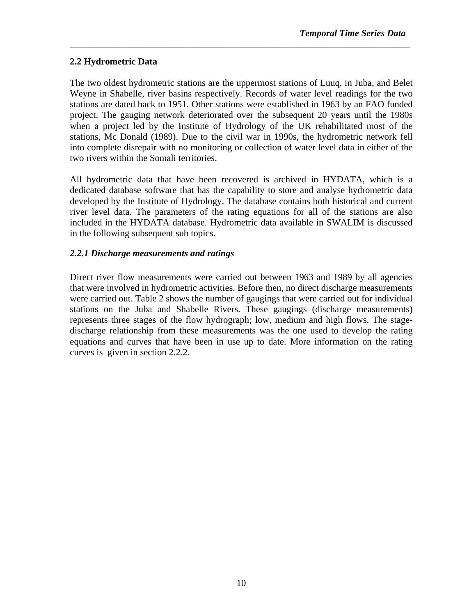#### **2.2 Hydrometric Data**

The two oldest hydrometric stations are the uppermost stations of Luuq, in Juba, and Belet Weyne in Shabelle, river basins respectively. Records of water level readings for the two stations are dated back to 1951. Other stations were established in 1963 by an FAO funded project. The gauging network deteriorated over the subsequent 20 years until the 1980s when a project led by the Institute of Hydrology of the UK rehabilitated most of the stations, Mc Donald (1989). Due to the civil war in 1990s, the hydrometric network fell into complete disrepair with no monitoring or collection of water level data in either of the two rivers within the Somali territories.

\_\_\_\_\_\_\_\_\_\_\_\_\_\_\_\_\_\_\_\_\_\_\_\_\_\_\_\_\_\_\_\_\_\_\_\_\_\_\_\_\_\_\_\_\_\_\_\_\_\_\_\_\_\_\_\_\_\_\_\_\_\_\_\_\_\_\_\_\_\_\_\_\_

All hydrometric data that have been recovered is archived in HYDATA, which is a dedicated database software that has the capability to store and analyse hydrometric data developed by the Institute of Hydrology. The database contains both historical and current river level data. The parameters of the rating equations for all of the stations are also included in the HYDATA database. Hydrometric data available in SWALIM is discussed in the following subsequent sub topics.

#### *2.2.1 Discharge measurements and ratings*

Direct river flow measurements were carried out between 1963 and 1989 by all agencies that were involved in hydrometric activities. Before then, no direct discharge measurements were carried out. Table 2 shows the number of gaugings that were carried out for individual stations on the Juba and Shabelle Rivers. These gaugings (discharge measurements) represents three stages of the flow hydrograph; low, medium and high flows. The stagedischarge relationship from these measurements was the one used to develop the rating equations and curves that have been in use up to date. More information on the rating curves is given in section 2.2.2.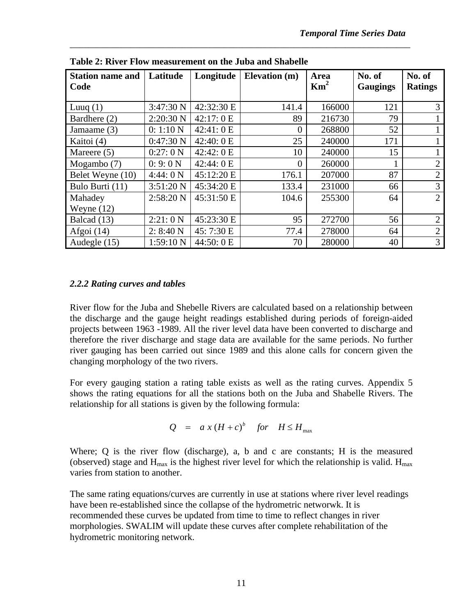| <b>Station name and</b><br>Code | Latitude  | Longitude    | <b>Elevation</b> (m) | Area<br>$\mathrm{Km}^2$ | No. of<br><b>Gaugings</b> | No. of<br><b>Ratings</b> |
|---------------------------------|-----------|--------------|----------------------|-------------------------|---------------------------|--------------------------|
| Luuq $(1)$                      | 3:47:30 N | 42:32:30 E   | 141.4                | 166000                  | 121                       | 3                        |
| Bardhere (2)                    | 2:20:30 N | 42:17:0 E    | 89                   | 216730                  | 79                        |                          |
| Jamaame (3)                     | 0:1:10 N  | 42:41: 0 E   | $\overline{0}$       | 268800                  | 52                        |                          |
| Kaitoi (4)                      | 0:47:30 N | 42:40: $0 E$ | 25                   | 240000                  | 171                       |                          |
| Mareere (5)                     | 0:27:0 N  | 42:42: 0 E   | 10                   | 240000                  | 15                        |                          |
| Mogambo (7)                     | 0:9:0 N   | 42:44:0 E    | $\overline{0}$       | 260000                  |                           | $\mathbf{2}$             |
| Belet Weyne (10)                | 4:44:0 N  | 45:12:20 E   | 176.1                | 207000                  | 87                        | $\overline{2}$           |
| Bulo Burti (11)                 | 3:51:20 N | 45:34:20 E   | 133.4                | 231000                  | 66                        | 3                        |
| Mahadey                         | 2:58:20 N | 45:31:50 E   | 104.6                | 255300                  | 64                        | 2                        |
| Weyne $(12)$                    |           |              |                      |                         |                           |                          |
| Balcad (13)                     | 2:21:0 N  | 45:23:30 E   | 95                   | 272700                  | 56                        | $\overline{2}$           |
| Afgoi $(14)$                    | 2: 8:40 N | 45: 7:30 E   | 77.4                 | 278000                  | 64                        | $\overline{2}$           |
| Audegle (15)                    | 1:59:10 N | 44:50: 0 E   | 70                   | 280000                  | 40                        | 3                        |

\_\_\_\_\_\_\_\_\_\_\_\_\_\_\_\_\_\_\_\_\_\_\_\_\_\_\_\_\_\_\_\_\_\_\_\_\_\_\_\_\_\_\_\_\_\_\_\_\_\_\_\_\_\_\_\_\_\_\_\_\_\_\_\_\_\_\_\_\_\_\_\_\_

**Table 2: River Flow measurement on the Juba and Shabelle** 

#### *2.2.2 Rating curves and tables*

River flow for the Juba and Shebelle Rivers are calculated based on a relationship between the discharge and the gauge height readings established during periods of foreign-aided projects between 1963 -1989. All the river level data have been converted to discharge and therefore the river discharge and stage data are available for the same periods. No further river gauging has been carried out since 1989 and this alone calls for concern given the changing morphology of the two rivers.

For every gauging station a rating table exists as well as the rating curves. Appendix 5 shows the rating equations for all the stations both on the Juba and Shabelle Rivers. The relationship for all stations is given by the following formula:

$$
Q = a x (H + c)^b \quad \text{for} \quad H \le H_{\text{max}}
$$

Where; Q is the river flow (discharge), a, b and c are constants; H is the measured (observed) stage and  $H_{max}$  is the highest river level for which the relationship is valid.  $H_{max}$ varies from station to another.

The same rating equations/curves are currently in use at stations where river level readings have been re-established since the collapse of the hydrometric networwk. It is recommended these curves be updated from time to time to reflect changes in river morphologies. SWALIM will update these curves after complete rehabilitation of the hydrometric monitoring network.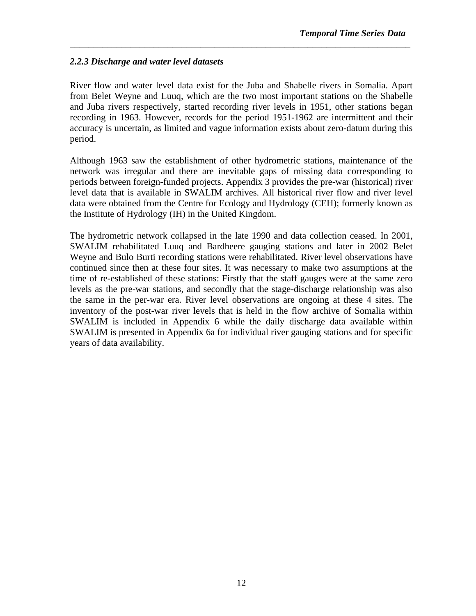#### *2.2.3 Discharge and water level datasets*

River flow and water level data exist for the Juba and Shabelle rivers in Somalia. Apart from Belet Weyne and Luuq, which are the two most important stations on the Shabelle and Juba rivers respectively, started recording river levels in 1951, other stations began recording in 1963. However, records for the period 1951-1962 are intermittent and their accuracy is uncertain, as limited and vague information exists about zero-datum during this period.

\_\_\_\_\_\_\_\_\_\_\_\_\_\_\_\_\_\_\_\_\_\_\_\_\_\_\_\_\_\_\_\_\_\_\_\_\_\_\_\_\_\_\_\_\_\_\_\_\_\_\_\_\_\_\_\_\_\_\_\_\_\_\_\_\_\_\_\_\_\_\_\_\_

Although 1963 saw the establishment of other hydrometric stations, maintenance of the network was irregular and there are inevitable gaps of missing data corresponding to periods between foreign-funded projects. Appendix 3 provides the pre-war (historical) river level data that is available in SWALIM archives. All historical river flow and river level data were obtained from the Centre for Ecology and Hydrology (CEH); formerly known as the Institute of Hydrology (IH) in the United Kingdom.

The hydrometric network collapsed in the late 1990 and data collection ceased. In 2001, SWALIM rehabilitated Luuq and Bardheere gauging stations and later in 2002 Belet Weyne and Bulo Burti recording stations were rehabilitated. River level observations have continued since then at these four sites. It was necessary to make two assumptions at the time of re-established of these stations: Firstly that the staff gauges were at the same zero levels as the pre-war stations, and secondly that the stage-discharge relationship was also the same in the per-war era. River level observations are ongoing at these 4 sites. The inventory of the post-war river levels that is held in the flow archive of Somalia within SWALIM is included in Appendix 6 while the daily discharge data available within SWALIM is presented in Appendix 6a for individual river gauging stations and for specific years of data availability.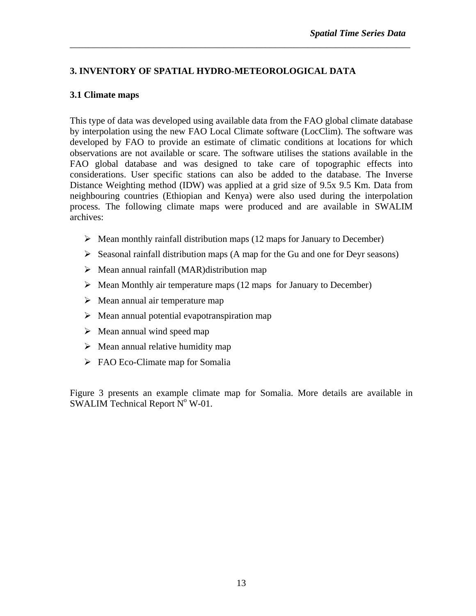#### **3. INVENTORY OF SPATIAL HYDRO-METEOROLOGICAL DATA**

#### **3.1 Climate maps**

This type of data was developed using available data from the FAO global climate database by interpolation using the new FAO Local Climate software (LocClim). The software was developed by FAO to provide an estimate of climatic conditions at locations for which observations are not available or scare. The software utilises the stations available in the FAO global database and was designed to take care of topographic effects into considerations. User specific stations can also be added to the database. The Inverse Distance Weighting method (IDW) was applied at a grid size of 9.5x 9.5 Km. Data from neighbouring countries (Ethiopian and Kenya) were also used during the interpolation process. The following climate maps were produced and are available in SWALIM archives:

\_\_\_\_\_\_\_\_\_\_\_\_\_\_\_\_\_\_\_\_\_\_\_\_\_\_\_\_\_\_\_\_\_\_\_\_\_\_\_\_\_\_\_\_\_\_\_\_\_\_\_\_\_\_\_\_\_\_\_\_\_\_\_\_\_\_\_\_\_\_\_\_\_

- $\triangleright$  Mean monthly rainfall distribution maps (12 maps for January to December)
- $\triangleright$  Seasonal rainfall distribution maps (A map for the Gu and one for Deyr seasons)
- $\triangleright$  Mean annual rainfall (MAR)distribution map
- $\triangleright$  Mean Monthly air temperature maps (12 maps for January to December)
- $\triangleright$  Mean annual air temperature map
- $\triangleright$  Mean annual potential evapotranspiration map
- $\triangleright$  Mean annual wind speed map
- $\triangleright$  Mean annual relative humidity map
- $\triangleright$  FAO Eco-Climate map for Somalia

Figure 3 presents an example climate map for Somalia. More details are available in SWALIM Technical Report  $N^{\circ}$  W-01.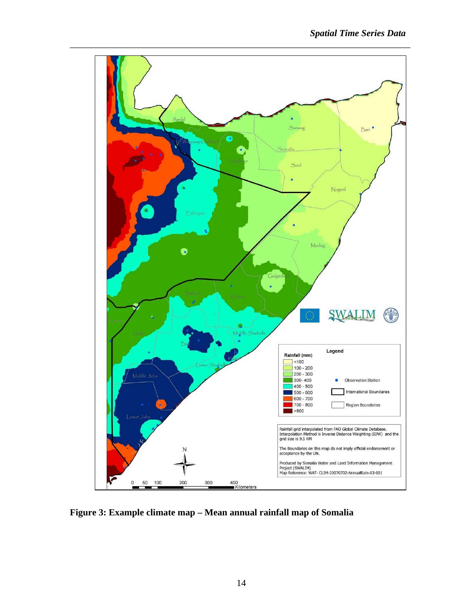

**Figure 3: Example climate map – Mean annual rainfall map of Somalia**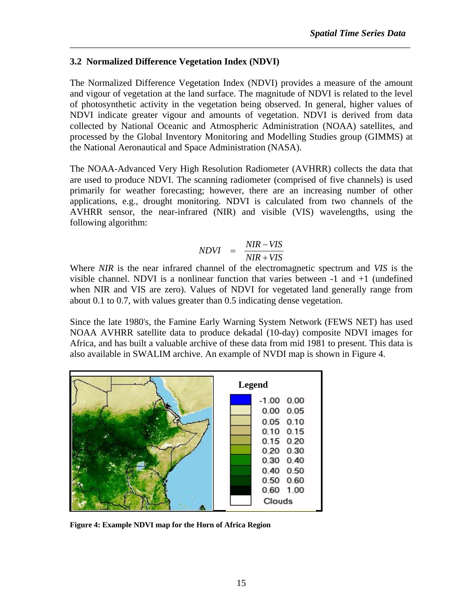#### **3.2 Normalized Difference Vegetation Index (NDVI)**

The Normalized Difference Vegetation Index (NDVI) provides a measure of the amount and vigour of vegetation at the land surface. The magnitude of NDVI is related to the level of photosynthetic activity in the vegetation being observed. In general, higher values of NDVI indicate greater vigour and amounts of vegetation. NDVI is derived from data collected by National Oceanic and Atmospheric Administration (NOAA) satellites, and processed by the Global Inventory Monitoring and Modelling Studies group (GIMMS) at the National Aeronautical and Space Administration (NASA).

\_\_\_\_\_\_\_\_\_\_\_\_\_\_\_\_\_\_\_\_\_\_\_\_\_\_\_\_\_\_\_\_\_\_\_\_\_\_\_\_\_\_\_\_\_\_\_\_\_\_\_\_\_\_\_\_\_\_\_\_\_\_\_\_\_\_\_\_\_\_\_\_\_

The NOAA-Advanced Very High Resolution Radiometer (AVHRR) collects the data that are used to produce NDVI. The scanning radiometer (comprised of five channels) is used primarily for weather forecasting; however, there are an increasing number of other applications, e.g., drought monitoring. NDVI is calculated from two channels of the AVHRR sensor, the near-infrared (NIR) and visible (VIS) wavelengths, using the following algorithm:

$$
NDVI = \frac{NIR - VIS}{NIR + VIS}
$$

Where *NIR* is the near infrared channel of the electromagnetic spectrum and *VIS* is the visible channel. NDVI is a nonlinear function that varies between -1 and +1 (undefined when NIR and VIS are zero). Values of NDVI for vegetated land generally range from about 0.1 to 0.7, with values greater than 0.5 indicating dense vegetation.

Since the late 1980's, the Famine Early Warning System Network (FEWS NET) has used NOAA AVHRR satellite data to produce dekadal (10-day) composite NDVI images for Africa, and has built a valuable archive of these data from mid 1981 to present. This data is also available in SWALIM archive. An example of NVDI map is shown in Figure 4.



**Figure 4: Example NDVI map for the Horn of Africa Region**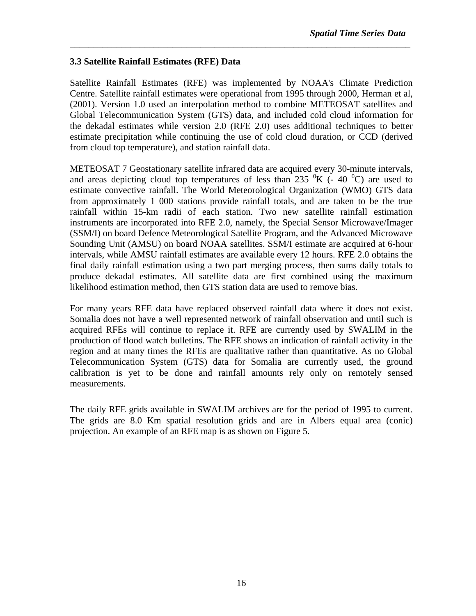#### **3.3 Satellite Rainfall Estimates (RFE) Data**

Satellite Rainfall Estimates (RFE) was implemented by NOAA's Climate Prediction Centre. Satellite rainfall estimates were operational from 1995 through 2000, Herman et al, (2001). Version 1.0 used an interpolation method to combine METEOSAT satellites and Global Telecommunication System (GTS) data, and included cold cloud information for the dekadal estimates while version 2.0 (RFE 2.0) uses additional techniques to better estimate precipitation while continuing the use of cold cloud duration, or CCD (derived from cloud top temperature), and station rainfall data.

\_\_\_\_\_\_\_\_\_\_\_\_\_\_\_\_\_\_\_\_\_\_\_\_\_\_\_\_\_\_\_\_\_\_\_\_\_\_\_\_\_\_\_\_\_\_\_\_\_\_\_\_\_\_\_\_\_\_\_\_\_\_\_\_\_\_\_\_\_\_\_\_\_

METEOSAT 7 Geostationary satellite infrared data are acquired every 30-minute intervals, and areas depicting cloud top temperatures of less than 235  $\rm{^0K}$  (- 40  $\rm{^0C}$ ) are used to estimate convective rainfall. The World Meteorological Organization (WMO) GTS data from approximately 1 000 stations provide rainfall totals, and are taken to be the true rainfall within 15-km radii of each station. Two new satellite rainfall estimation instruments are incorporated into RFE 2.0, namely, the Special Sensor Microwave/Imager (SSM/I) on board Defence Meteorological Satellite Program, and the Advanced Microwave Sounding Unit (AMSU) on board NOAA satellites. SSM/I estimate are acquired at 6-hour intervals, while AMSU rainfall estimates are available every 12 hours. RFE 2.0 obtains the final daily rainfall estimation using a two part merging process, then sums daily totals to produce dekadal estimates. All satellite data are first combined using the maximum likelihood estimation method, then GTS station data are used to remove bias.

For many years RFE data have replaced observed rainfall data where it does not exist. Somalia does not have a well represented network of rainfall observation and until such is acquired RFEs will continue to replace it. RFE are currently used by SWALIM in the production of flood watch bulletins. The RFE shows an indication of rainfall activity in the region and at many times the RFEs are qualitative rather than quantitative. As no Global Telecommunication System (GTS) data for Somalia are currently used, the ground calibration is yet to be done and rainfall amounts rely only on remotely sensed measurements.

The daily RFE grids available in SWALIM archives are for the period of 1995 to current. The grids are 8.0 Km spatial resolution grids and are in Albers equal area (conic) projection. An example of an RFE map is as shown on Figure 5.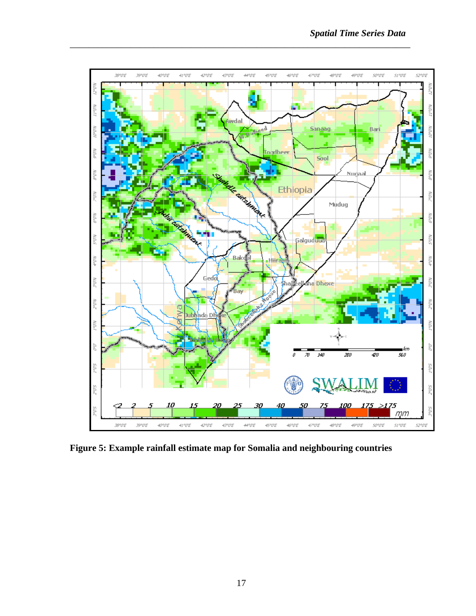

**Figure 5: Example rainfall estimate map for Somalia and neighbouring countries**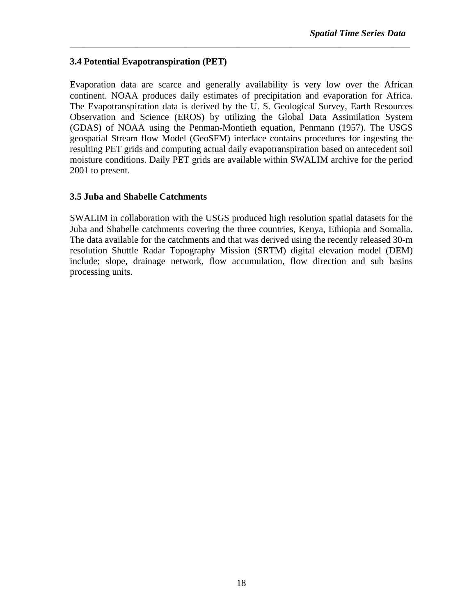#### **3.4 Potential Evapotranspiration (PET)**

Evaporation data are scarce and generally availability is very low over the African continent. NOAA produces daily estimates of precipitation and evaporation for Africa. The Evapotranspiration data is derived by the U. S. Geological Survey, Earth Resources Observation and Science (EROS) by utilizing the Global Data Assimilation System (GDAS) of NOAA using the Penman-Montieth equation, Penmann (1957). The USGS geospatial Stream flow Model (GeoSFM) interface contains procedures for ingesting the resulting PET grids and computing actual daily evapotranspiration based on antecedent soil moisture conditions. Daily PET grids are available within SWALIM archive for the period 2001 to present.

\_\_\_\_\_\_\_\_\_\_\_\_\_\_\_\_\_\_\_\_\_\_\_\_\_\_\_\_\_\_\_\_\_\_\_\_\_\_\_\_\_\_\_\_\_\_\_\_\_\_\_\_\_\_\_\_\_\_\_\_\_\_\_\_\_\_\_\_\_\_\_\_\_

#### **3.5 Juba and Shabelle Catchments**

SWALIM in collaboration with the USGS produced high resolution spatial datasets for the Juba and Shabelle catchments covering the three countries, Kenya, Ethiopia and Somalia. The data available for the catchments and that was derived using the recently released 30-m resolution Shuttle Radar Topography Mission (SRTM) digital elevation model (DEM) include; slope, drainage network, flow accumulation, flow direction and sub basins processing units.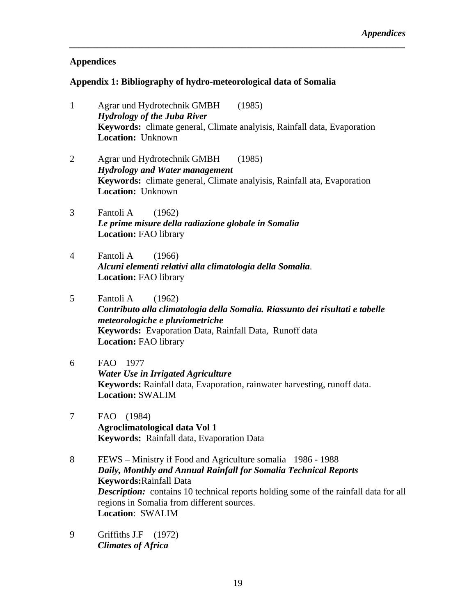#### **Appendices**

#### **Appendix 1: Bibliography of hydro-meteorological data of Somalia**

1 Agrar und Hydrotechnik GMBH (1985) *Hydrology of the Juba River*  **Keywords:** climate general, Climate analyisis, Rainfall data, Evaporation **Location:** Unknown

*\_\_\_\_\_\_\_\_\_\_\_\_\_\_\_\_\_\_\_\_\_\_\_\_\_\_\_\_\_\_\_\_\_\_\_\_\_\_\_\_\_\_\_\_\_\_\_\_\_\_\_\_\_\_\_\_\_\_\_\_\_\_\_\_\_\_\_\_\_\_\_\_* 

- 2 Agrar und Hydrotechnik GMBH (1985) *Hydrology and Water management* **Keywords:** climate general, Climate analyisis, Rainfall ata, Evaporation **Location:** Unknown
- 3 Fantoli A (1962) *Le prime misure della radiazione globale in Somalia*  **Location:** FAO library
- 4 Fantoli A (1966) *Alcuni elementi relativi alla climatologia della Somalia*. **Location:** FAO library
- 5 Fantoli A (1962)

*Contributo alla climatologia della Somalia. Riassunto dei risultati e tabelle meteorologiche e pluviometriche*  **Keywords:** Evaporation Data, Rainfall Data, Runoff data **Location:** FAO library

- 6 FAO 1977 *Water Use in Irrigated Agriculture*  **Keywords:** Rainfall data, Evaporation, rainwater harvesting, runoff data. **Location:** SWALIM
- 7 FAO (1984) **Agroclimatological data Vol 1 Keywords:** Rainfall data, Evaporation Data
- 8 FEWS Ministry if Food and Agriculture somalia 1986 1988 *Daily, Monthly and Annual Rainfall for Somalia Technical Reports*  **Keywords:**Rainfall Data **Description:** contains 10 technical reports holding some of the rainfall data for all regions in Somalia from different sources. **Location**: SWALIM
- 9 Griffiths J.F (1972) *Climates of Africa*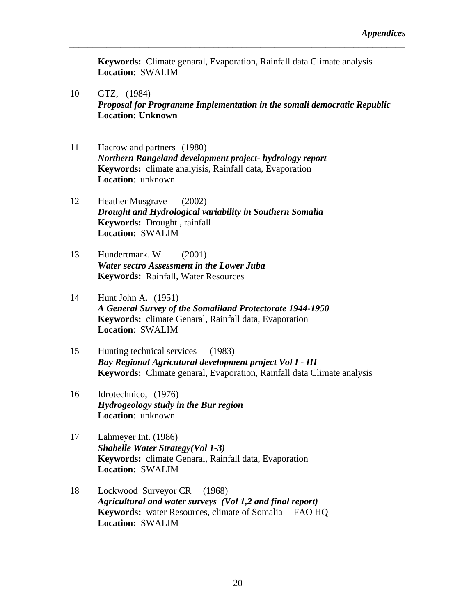**Keywords:** Climate genaral, Evaporation, Rainfall data Climate analysis **Location**: SWALIM

- 10 GTZ, (1984) *Proposal for Programme Implementation in the somali democratic Republic* **Location: Unknown**
- 11 Hacrow and partners (1980) *Northern Rangeland development project- hydrology report*  **Keywords:** climate analyisis, Rainfall data, Evaporation **Location**: unknown
- 12 Heather Musgrave (2002) *Drought and Hydrological variability in Southern Somalia*  **Keywords:** Drought , rainfall **Location:** SWALIM
- 13 Hundertmark. W (2001) *Water sectro Assessment in the Lower Juba*  **Keywords:** Rainfall, Water Resources
- 14 Hunt John A. (1951) *A General Survey of the Somaliland Protectorate 1944-1950*  **Keywords:** climate Genaral, Rainfall data, Evaporation **Location**: SWALIM
- 15 Hunting technical services (1983) *Bay Regional Agricutural development project Vol I - III*  **Keywords:** Climate genaral, Evaporation, Rainfall data Climate analysis
- 16 Idrotechnico, (1976) *Hydrogeology study in the Bur region*  **Location**: unknown
- 17 Lahmeyer Int. (1986) *Shabelle Water Strategy(Vol 1-3)*  **Keywords:** climate Genaral, Rainfall data, Evaporation **Location:** SWALIM
- 18 Lockwood Surveyor CR (1968) *Agricultural and water surveys (Vol 1,2 and final report)*  **Keywords:** water Resources, climate of Somalia FAO HQ **Location:** SWALIM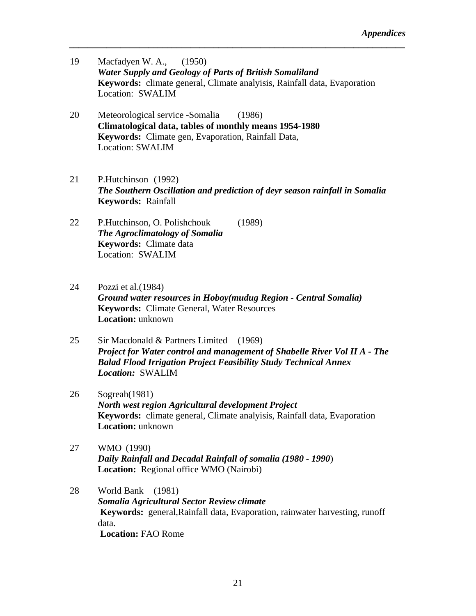19 Macfadyen W. A., (1950) *Water Supply and Geology of Parts of British Somaliland*  **Keywords:** climate general, Climate analyisis, Rainfall data, Evaporation Location: SWALIM

- 20 Meteorological service -Somalia (1986) **Climatological data, tables of monthly means 1954-1980 Keywords:** Climate gen, Evaporation, Rainfall Data, Location: SWALIM
- 21 P.Hutchinson (1992) *The Southern Oscillation and prediction of deyr season rainfall in Somalia* **Keywords:** Rainfall
- 22 P.Hutchinson, O. Polishchouk (1989) *The Agroclimatology of Somalia*  **Keywords:** Climate data Location: SWALIM
- 24 Pozzi et al.(1984) *Ground water resources in Hoboy(mudug Region - Central Somalia)* **Keywords:** Climate General, Water Resources **Location:** unknown
- 25 Sir Macdonald & Partners Limited (1969) *Project for Water control and management of Shabelle River Vol II A - The Balad Flood Irrigation Project Feasibility Study Technical Annex Location:* SWALIM
- 26 Sogreah(1981) *North west region Agricultural development Project*  **Keywords:** climate general, Climate analyisis, Rainfall data, Evaporation **Location:** unknown
- 27 WMO (1990) *Daily Rainfall and Decadal Rainfall of somalia (1980 - 1990*) **Location:** Regional office WMO (Nairobi)
- 28 World Bank (1981) *Somalia Agricultural Sector Review climate* **Keywords:** general,Rainfall data, Evaporation, rainwater harvesting, runoff data. **Location:** FAO Rome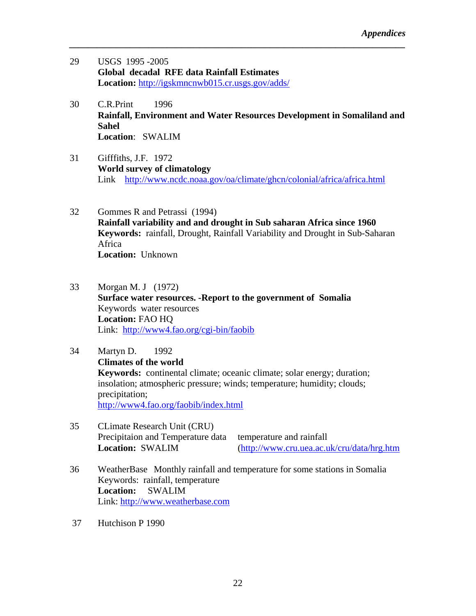- 29 USGS 1995 -2005 **Global decadal RFE data Rainfall Estimates Location:** http://igskmncnwb015.cr.usgs.gov/adds/
- 30 C.R.Print 1996 **Rainfall, Environment and Water Resources Development in Somaliland and Sahel Location**: SWALIM

*\_\_\_\_\_\_\_\_\_\_\_\_\_\_\_\_\_\_\_\_\_\_\_\_\_\_\_\_\_\_\_\_\_\_\_\_\_\_\_\_\_\_\_\_\_\_\_\_\_\_\_\_\_\_\_\_\_\_\_\_\_\_\_\_\_\_\_\_\_\_\_\_* 

- 31 Gifffiths, J.F. 1972 **World survey of climatology**  Link http://www.ncdc.noaa.gov/oa/climate/ghcn/colonial/africa/africa.html
- 32 Gommes R and Petrassi (1994) **Rainfall variability and and drought in Sub saharan Africa since 1960 Keywords:** rainfall, Drought, Rainfall Variability and Drought in Sub-Saharan Africa **Location:** Unknown
- 33 Morgan M. J (1972) **Surface water resources. -Report to the government of Somalia**  Keywords water resources **Location:** FAO HQ Link: http://www4.fao.org/cgi-bin/faobib
- 34 Martyn D. 1992 **Climates of the world Keywords:** continental climate; oceanic climate; solar energy; duration; insolation; atmospheric pressure; winds; temperature; humidity; clouds; precipitation; http://www4.fao.org/faobib/index.html
- 35 CLimate Research Unit (CRU) Precipitaion and Temperature data temperature and rainfall

**Location:** SWALIM (http://www.cru.uea.ac.uk/cru/data/hrg.htm

- 36 WeatherBase Monthly rainfall and temperature for some stations in Somalia Keywords: rainfall, temperature **Location:** SWALIM Link: http://www.weatherbase.com
- 37 Hutchison P 1990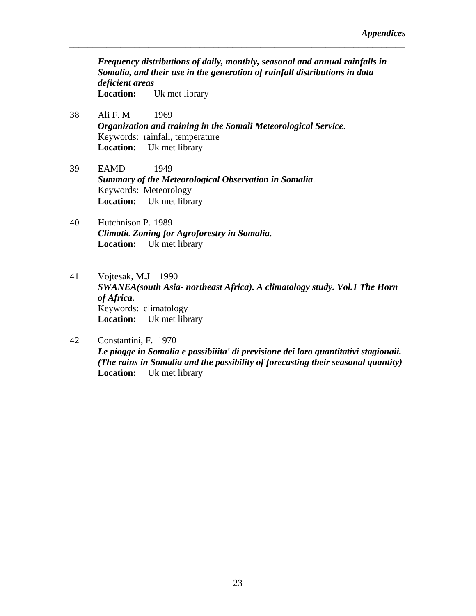*Frequency distributions of daily, monthly, seasonal and annual rainfalls in Somalia, and their use in the generation of rainfall distributions in data deficient areas*  **Location:** Uk met library

- 38 Ali F. M 1969 *Organization and training in the Somali Meteorological Service*. Keywords: rainfall, temperature **Location:** Uk met library
- 39 EAMD 1949 *Summary of the Meteorological Observation in Somalia*. Keywords: Meteorology **Location:** Uk met library
- 40 Hutchnison P. 1989 *Climatic Zoning for Agroforestry in Somalia*. **Location:** Uk met library
- 41 Vojtesak, M.J 1990 *SWANEA(south Asia- northeast Africa). A climatology study. Vol.1 The Horn of Africa*. Keywords: climatology **Location:** Uk met library
- 42 Constantini, F. 1970 *Le piogge in Somalia e possibiiita' di previsione dei loro quantitativi stagionaii. (The rains in Somalia and the possibility of forecasting their seasonal quantity)*  **Location:** Uk met library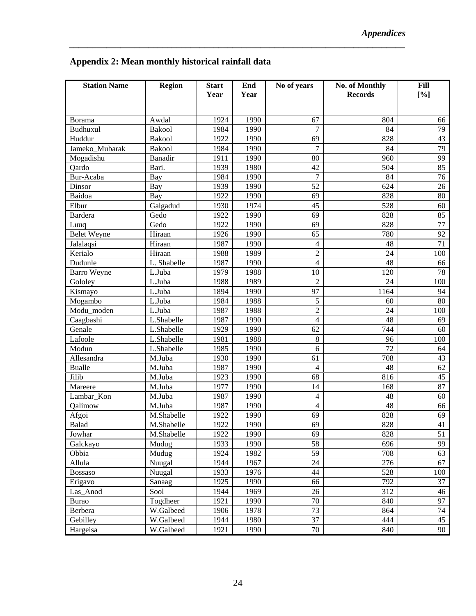| <b>Station Name</b>             | <b>Region</b>            | <b>Start</b><br>Year | End<br>Year  | No of years    | No. of Monthly<br><b>Records</b> | Fill<br>[%] |
|---------------------------------|--------------------------|----------------------|--------------|----------------|----------------------------------|-------------|
|                                 |                          |                      |              |                |                                  |             |
| Borama                          | Awdal                    | 1924                 | 1990         | 67             | 804                              | 66          |
| Budhuxul                        | Bakool                   | 1984                 | 1990         | 7              | 84                               | 79          |
| Huddur                          | Bakool                   | 1922                 | 1990         | 69             | 828                              | 43          |
| Jameko Mubarak                  | Bakool                   | 1984                 | 1990         | 7              | 84                               | 79          |
| Mogadishu                       | Banadir                  | 1911                 | 1990         | 80             | 960                              | 99          |
| Qardo                           | Bari.                    | 1939                 | 1980         | 42             | 504                              | 85          |
| Bur-Acaba                       | Bay                      | 1984                 | 1990         | 7              | 84                               | 76          |
| Dinsor                          | Bay                      | 1939                 | 1990         | 52             | 624                              | 26          |
| Baidoa                          | Bay                      | 1922                 | 1990         | 69             | 828                              | 80          |
| Elbur                           | Galgadud                 | 1930                 | 1974         | 45             | 528                              | 60          |
| Bardera                         | Gedo                     | 1922                 | 1990         | 69             | 828                              | 85          |
| Luuq                            | Gedo<br>Hiraan           | 1922<br>1926         | 1990<br>1990 | 69<br>65       | 828<br>780                       | 77<br>92    |
| <b>Belet Weyne</b><br>Jalalaqsi | Hiraan                   | 1987                 | 1990         | $\overline{4}$ | 48                               | 71          |
| Kerialo                         | Hiraan                   | 1988                 | 1989         | $\overline{2}$ | 24                               | 100         |
| Dudunle                         | L. Shabelle              | 1987                 | 1990         | $\overline{4}$ | 48                               | 66          |
| <b>Barro Weyne</b>              | L.Juba                   | 1979                 | 1988         | 10             | 120                              | 78          |
| Gololey                         | L.Juba                   | 1988                 | 1989         | $\overline{2}$ | 24                               | 100         |
| Kismayo                         | L.Juba                   | 1894                 | 1990         | 97             | 1164                             | 94          |
| Mogambo                         | L.Juba                   | 1984                 | 1988         | 5              | 60                               | 80          |
| Modu_moden                      | L.Juba                   | 1987                 | 1988         | $\overline{2}$ | 24                               | 100         |
| Caagbashi                       | L.Shabelle               | 1987                 | 1990         | $\overline{4}$ | 48                               | 69          |
| Genale                          | L.Shabelle               | 1929                 | 1990         | 62             | 744                              | 60          |
| Lafoole                         | L.Shabelle               | 1981                 | 1988         | 8              | 96                               | 100         |
| Modun                           | L.Shabelle               | 1985                 | 1990         | 6              | 72                               | 64          |
| Allesandra                      | M.Juba                   | 1930                 | 1990         | 61             | 708                              | 43          |
| <b>Bualle</b>                   | M.Juba                   | 1987                 | 1990         | $\overline{4}$ | 48                               | 62          |
| Jilib                           | M.Juba                   | 1923                 | 1990         | 68             | 816                              | 45          |
| Mareere                         | M.Juba                   | 1977                 | 1990         | 14             | 168                              | 87          |
| Lambar_Kon                      | M.Juba                   | 1987                 | 1990         | 4              | 48                               | 60          |
| Qalimow                         | M.Juba                   | 1987                 | 1990         | 4              | 48                               | 66          |
| Afgoi<br>Balad                  | M.Shabelle<br>M.Shabelle | 1922<br>1922         | 1990<br>1990 | 69<br>69       | 828<br>828                       | 69<br>41    |
| Jowhar                          | M.Shabelle               | 1922                 | 1990         | 69             | 828                              | 51          |
| Galckayo                        | Mudug                    | 1933                 | 1990         | 58             | 696                              | 99          |
| Obbia                           | Mudug                    | 1924                 | 1982         | 59             | 708                              | 63          |
| Allula                          | Nuugal                   | 1944                 | 1967         | 24             | 276                              | 67          |
| <b>Bossaso</b>                  | Nuugal                   | 1933                 | 1976         | 44             | 528                              | 100         |
| Erigavo                         | Sanaag                   | 1925                 | 1990         | 66             | 792                              | 37          |
| Las_Anod                        | Sool                     | 1944                 | 1969         | 26             | 312                              | 46          |
| <b>Burao</b>                    | Togdheer                 | 1921                 | 1990         | $70\,$         | 840                              | 97          |
| Berbera                         | W.Galbeed                | 1906                 | 1978         | 73             | 864                              | 74          |
| Gebilley                        | W.Galbeed                | 1944                 | 1980         | 37             | 444                              | 45          |
| Hargeisa                        | W.Galbeed                | 1921                 | 1990         | $70\,$         | 840                              | 90          |

*\_\_\_\_\_\_\_\_\_\_\_\_\_\_\_\_\_\_\_\_\_\_\_\_\_\_\_\_\_\_\_\_\_\_\_\_\_\_\_\_\_\_\_\_\_\_\_\_\_\_\_\_\_\_\_\_\_\_\_\_\_\_\_\_\_\_\_\_\_\_\_\_* 

## **Appendix 2: Mean monthly historical rainfall data**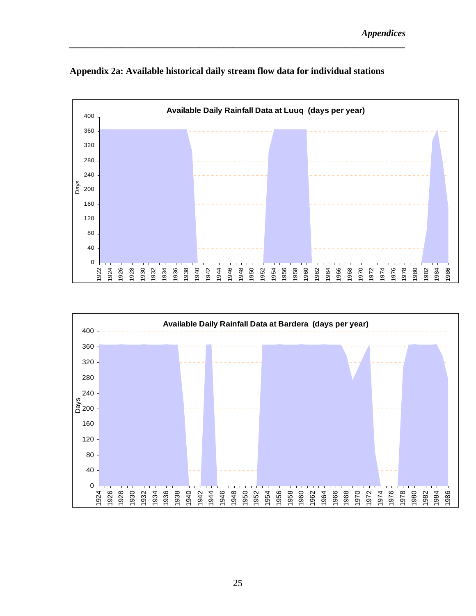

**Appendix 2a: Available historical daily stream flow data for individual stations** 

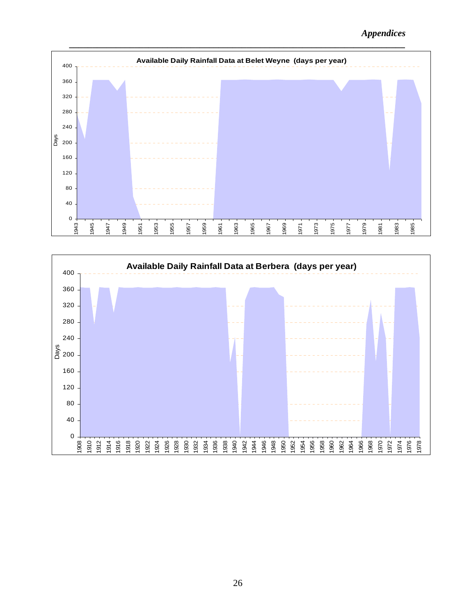*Appendices* 



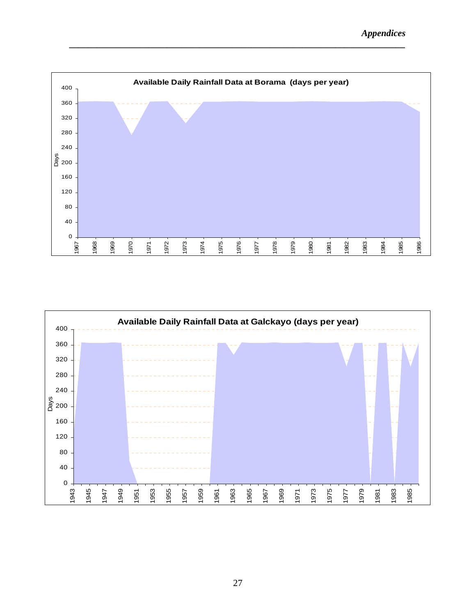

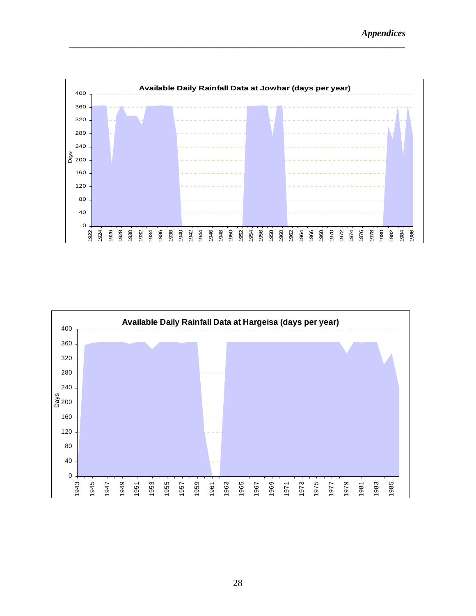

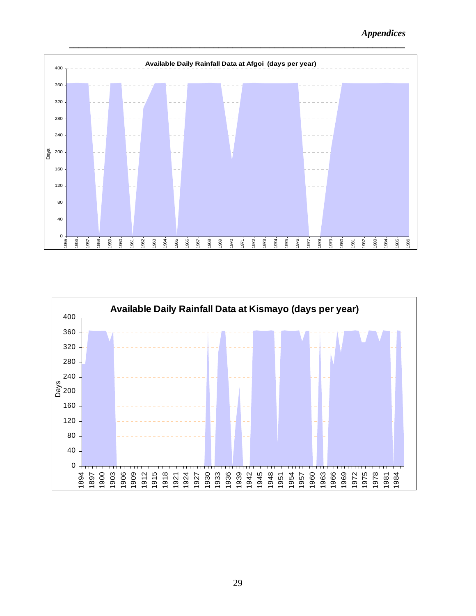*Appendices* 



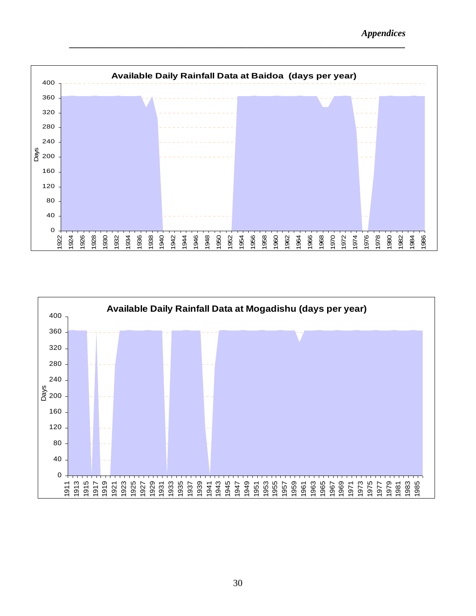

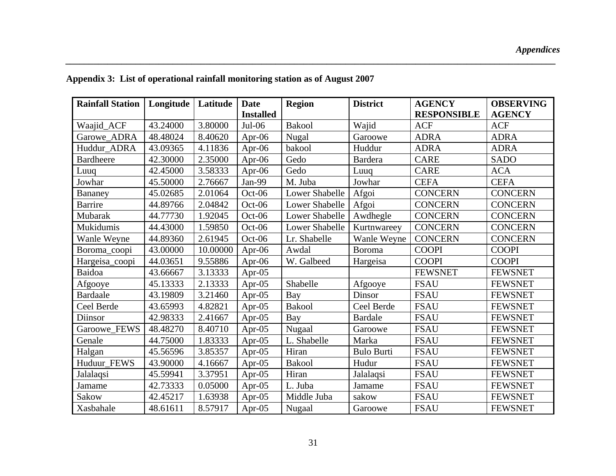| <b>Rainfall Station</b> | Longitude | Latitude | <b>Date</b>      | <b>Region</b>  | <b>District</b>   | <b>AGENCY</b>      | <b>OBSERVING</b> |
|-------------------------|-----------|----------|------------------|----------------|-------------------|--------------------|------------------|
|                         |           |          | <b>Installed</b> |                |                   | <b>RESPONSIBLE</b> | <b>AGENCY</b>    |
| Waajid_ACF              | 43.24000  | 3.80000  | $Jul-06$         | <b>Bakool</b>  | Wajid             | <b>ACF</b>         | <b>ACF</b>       |
| Garowe ADRA             | 48.48024  | 8.40620  | Apr- $06$        | Nugal          | Garoowe           | <b>ADRA</b>        | <b>ADRA</b>      |
| Huddur_ADRA             | 43.09365  | 4.11836  | Apr- $06$        | bakool         | Huddur            | <b>ADRA</b>        | <b>ADRA</b>      |
| <b>Bardheere</b>        | 42.30000  | 2.35000  | Apr-06           | Gedo           | <b>Bardera</b>    | <b>CARE</b>        | <b>SADO</b>      |
| Luuq                    | 42.45000  | 3.58333  | Apr-06           | Gedo           | Luuq              | <b>CARE</b>        | <b>ACA</b>       |
| Jowhar                  | 45.50000  | 2.76667  | Jan-99           | M. Juba        | Jowhar            | <b>CEFA</b>        | <b>CEFA</b>      |
| Bananey                 | 45.02685  | 2.01064  | $Oct-06$         | Lower Shabelle | Afgoi             | <b>CONCERN</b>     | <b>CONCERN</b>   |
| <b>Barrire</b>          | 44.89766  | 2.04842  | $Oct-06$         | Lower Shabelle | Afgoi             | <b>CONCERN</b>     | <b>CONCERN</b>   |
| Mubarak                 | 44.77730  | 1.92045  | $Oct-06$         | Lower Shabelle | Awdhegle          | <b>CONCERN</b>     | <b>CONCERN</b>   |
| Mukidumis               | 44.43000  | 1.59850  | $Oct-06$         | Lower Shabelle | Kurtnwareey       | <b>CONCERN</b>     | <b>CONCERN</b>   |
| Wanle Weyne             | 44.89360  | 2.61945  | $Oct-06$         | Lr. Shabelle   | Wanle Weyne       | <b>CONCERN</b>     | <b>CONCERN</b>   |
| Boroma_coopi            | 43.00000  | 10.00000 | Apr-06           | Awdal          | Boroma            | <b>COOPI</b>       | <b>COOPI</b>     |
| Hargeisa_coopi          | 44.03651  | 9.55886  | Apr-06           | W. Galbeed     | Hargeisa          | <b>COOPI</b>       | <b>COOPI</b>     |
| Baidoa                  | 43.66667  | 3.13333  | Apr- $05$        |                |                   | <b>FEWSNET</b>     | <b>FEWSNET</b>   |
| Afgooye                 | 45.13333  | 2.13333  | Apr- $05$        | Shabelle       | Afgooye           | <b>FSAU</b>        | <b>FEWSNET</b>   |
| <b>Bardaale</b>         | 43.19809  | 3.21460  | Apr-05           | Bay            | Dinsor            | <b>FSAU</b>        | <b>FEWSNET</b>   |
| Ceel Berde              | 43.65993  | 4.82821  | Apr-05           | <b>Bakool</b>  | Ceel Berde        | <b>FSAU</b>        | <b>FEWSNET</b>   |
| Diinsor                 | 42.98333  | 2.41667  | Apr- $05$        | Bay            | <b>Bardale</b>    | <b>FSAU</b>        | <b>FEWSNET</b>   |
| Garoowe_FEWS            | 48.48270  | 8.40710  | Apr- $05$        | Nugaal         | Garoowe           | <b>FSAU</b>        | <b>FEWSNET</b>   |
| Genale                  | 44.75000  | 1.83333  | Apr-05           | L. Shabelle    | Marka             | <b>FSAU</b>        | <b>FEWSNET</b>   |
| Halgan                  | 45.56596  | 3.85357  | Apr-05           | Hiran          | <b>Bulo Burti</b> | <b>FSAU</b>        | <b>FEWSNET</b>   |
| Huduur_FEWS             | 43.90000  | 4.16667  | Apr-05           | <b>Bakool</b>  | Hudur             | <b>FSAU</b>        | <b>FEWSNET</b>   |
| Jalalaqsi               | 45.59941  | 3.37951  | Apr- $05$        | Hiran          | Jalalaqsi         | <b>FSAU</b>        | <b>FEWSNET</b>   |
| Jamame                  | 42.73333  | 0.05000  | Apr- $05$        | L. Juba        | Jamame            | <b>FSAU</b>        | <b>FEWSNET</b>   |
| Sakow                   | 42.45217  | 1.63938  | Apr- $05$        | Middle Juba    | sakow             | <b>FSAU</b>        | <b>FEWSNET</b>   |
| Xasbahale               | 48.61611  | 8.57917  | Apr- $05$        | Nugaal         | Garoowe           | <b>FSAU</b>        | <b>FEWSNET</b>   |

*\_\_\_\_\_\_\_\_\_\_\_\_\_\_\_\_\_\_\_\_\_\_\_\_\_\_\_\_\_\_\_\_\_\_\_\_\_\_\_\_\_\_\_\_\_\_\_\_\_\_\_\_\_\_\_\_\_\_\_\_\_\_\_\_\_\_\_\_\_\_\_\_\_\_\_\_\_\_\_\_\_\_\_\_\_\_\_\_\_\_\_\_\_\_\_\_\_\_\_\_\_\_\_\_\_* 

## **Appendix 3: List of operational rainfall monitoring station as of August 2007**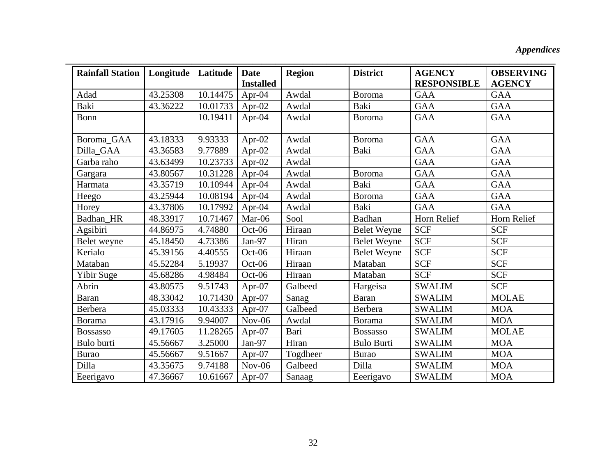*Appendices* 

| <b>Rainfall Station</b> | Longitude | Latitude | <b>Date</b>      | <b>Region</b> | <b>District</b>    | <b>AGENCY</b>      | <b>OBSERVING</b> |
|-------------------------|-----------|----------|------------------|---------------|--------------------|--------------------|------------------|
|                         |           |          | <b>Installed</b> |               |                    | <b>RESPONSIBLE</b> | <b>AGENCY</b>    |
| Adad                    | 43.25308  | 10.14475 | Apr- $04$        | Awdal         | <b>Boroma</b>      | <b>GAA</b>         | <b>GAA</b>       |
| Baki                    | 43.36222  | 10.01733 | Apr- $02$        | Awdal         | Baki               | <b>GAA</b>         | <b>GAA</b>       |
| Bonn                    |           | 10.19411 | Apr- $04$        | Awdal         | Boroma             | <b>GAA</b>         | <b>GAA</b>       |
| Boroma_GAA              | 43.18333  | 9.93333  | Apr- $02$        | Awdal         | Boroma             | <b>GAA</b>         | <b>GAA</b>       |
| Dilla_GAA               | 43.36583  | 9.77889  | Apr- $02$        | Awdal         | Baki               | <b>GAA</b>         | <b>GAA</b>       |
| Garba raho              | 43.63499  | 10.23733 | Apr- $02$        | Awdal         |                    | <b>GAA</b>         | <b>GAA</b>       |
| Gargara                 | 43.80567  | 10.31228 | Apr- $04$        | Awdal         | <b>Boroma</b>      | <b>GAA</b>         | <b>GAA</b>       |
| Harmata                 | 43.35719  | 10.10944 | Apr-04           | Awdal         | Baki               | <b>GAA</b>         | <b>GAA</b>       |
| Heego                   | 43.25944  | 10.08194 | Apr- $04$        | Awdal         | Boroma             | <b>GAA</b>         | <b>GAA</b>       |
| Horey                   | 43.37806  | 10.17992 | Apr- $04$        | Awdal         | Baki               | <b>GAA</b>         | <b>GAA</b>       |
| Badhan_HR               | 48.33917  | 10.71467 | Mar-06           | Sool          | Badhan             | Horn Relief        | Horn Relief      |
| Agsibiri                | 44.86975  | 4.74880  | $Oct-06$         | Hiraan        | <b>Belet Weyne</b> | <b>SCF</b>         | <b>SCF</b>       |
| Belet weyne             | 45.18450  | 4.73386  | Jan-97           | Hiran         | <b>Belet Weyne</b> | <b>SCF</b>         | <b>SCF</b>       |
| Kerialo                 | 45.39156  | 4.40555  | $Oct-06$         | Hiraan        | <b>Belet Weyne</b> | <b>SCF</b>         | <b>SCF</b>       |
| Mataban                 | 45.52284  | 5.19937  | $Oct-06$         | Hiraan        | Mataban            | <b>SCF</b>         | <b>SCF</b>       |
| Yibir Suge              | 45.68286  | 4.98484  | Oct-06           | Hiraan        | Mataban            | <b>SCF</b>         | <b>SCF</b>       |
| Abrin                   | 43.80575  | 9.51743  | Apr- $07$        | Galbeed       | Hargeisa           | <b>SWALIM</b>      | <b>SCF</b>       |
| <b>Baran</b>            | 48.33042  | 10.71430 | Apr-07           | Sanag         | <b>Baran</b>       | <b>SWALIM</b>      | <b>MOLAE</b>     |
| Berbera                 | 45.03333  | 10.43333 | Apr-07           | Galbeed       | Berbera            | <b>SWALIM</b>      | <b>MOA</b>       |
| <b>Borama</b>           | 43.17916  | 9.94007  | $Nov-06$         | Awdal         | <b>Borama</b>      | <b>SWALIM</b>      | <b>MOA</b>       |
| <b>Bossasso</b>         | 49.17605  | 11.28265 | Apr-07           | Bari          | <b>Bossasso</b>    | <b>SWALIM</b>      | <b>MOLAE</b>     |
| Bulo burti              | 45.56667  | 3.25000  | Jan-97           | Hiran         | <b>Bulo Burti</b>  | <b>SWALIM</b>      | <b>MOA</b>       |
| <b>Burao</b>            | 45.56667  | 9.51667  | Apr-07           | Togdheer      | <b>Burao</b>       | <b>SWALIM</b>      | <b>MOA</b>       |
| Dilla                   | 43.35675  | 9.74188  | $Nov-06$         | Galbeed       | Dilla              | <b>SWALIM</b>      | <b>MOA</b>       |
| Eeerigavo               | 47.36667  | 10.61667 | Apr- $07$        | Sanaag        | Eeerigavo          | <b>SWALIM</b>      | <b>MOA</b>       |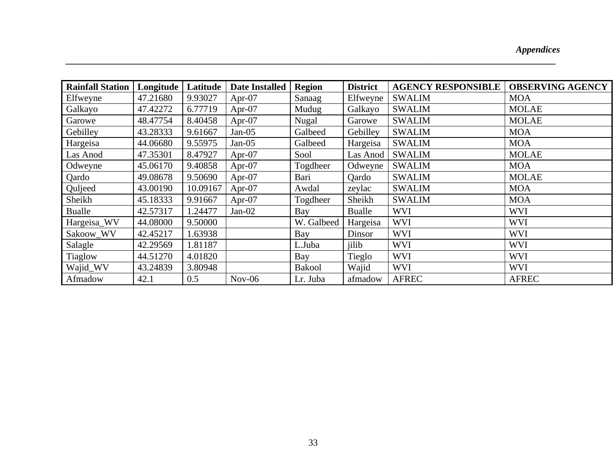## *Appendices*

| <b>Rainfall Station</b> | Longitude | Latitude | <b>Date Installed</b> | <b>Region</b> | <b>District</b> | <b>AGENCY RESPONSIBLE</b> | <b>OBSERVING AGENCY</b> |
|-------------------------|-----------|----------|-----------------------|---------------|-----------------|---------------------------|-------------------------|
| Elfweyne                | 47.21680  | 9.93027  | Apr- $07$             | Sanaag        | Elfweyne        | <b>SWALIM</b>             | <b>MOA</b>              |
| Galkayo                 | 47.42272  | 6.77719  | Apr- $07$             | Mudug         | Galkayo         | <b>SWALIM</b>             | <b>MOLAE</b>            |
| Garowe                  | 48.47754  | 8.40458  | Apr- $07$             | <b>Nugal</b>  | Garowe          | <b>SWALIM</b>             | <b>MOLAE</b>            |
| Gebilley                | 43.28333  | 9.61667  | $Jan-05$              | Galbeed       | Gebilley        | <b>SWALIM</b>             | <b>MOA</b>              |
| Hargeisa                | 44.06680  | 9.55975  | $Jan-05$              | Galbeed       | Hargeisa        | <b>SWALIM</b>             | <b>MOA</b>              |
| Las Anod                | 47.35301  | 8.47927  | Apr- $07$             | Sool          | Las Anod        | <b>SWALIM</b>             | <b>MOLAE</b>            |
| Odweyne                 | 45.06170  | 9.40858  | Apr- $07$             | Togdheer      | Odweyne         | <b>SWALIM</b>             | <b>MOA</b>              |
| Qardo                   | 49.08678  | 9.50690  | Apr- $07$             | Bari          | Qardo           | <b>SWALIM</b>             | <b>MOLAE</b>            |
| Quljeed                 | 43.00190  | 10.09167 | Apr- $07$             | Awdal         | zeylac          | <b>SWALIM</b>             | <b>MOA</b>              |
| Sheikh                  | 45.18333  | 9.91667  | Apr- $07$             | Togdheer      | Sheikh          | <b>SWALIM</b>             | <b>MOA</b>              |
| <b>Bualle</b>           | 42.57317  | 1.24477  | $Jan-02$              | Bay           | Bualle          | <b>WVI</b>                | <b>WVI</b>              |
| Hargeisa_WV             | 44.08000  | 9.50000  |                       | W. Galbeed    | Hargeisa        | <b>WVI</b>                | <b>WVI</b>              |
| Sakoow_WV               | 42.45217  | 1.63938  |                       | Bay           | Dinsor          | <b>WVI</b>                | <b>WVI</b>              |
| Salagle                 | 42.29569  | 1.81187  |                       | L.Juba        | jilib           | <b>WVI</b>                | <b>WVI</b>              |
| Tiaglow                 | 44.51270  | 4.01820  |                       | Bay           | Tieglo          | <b>WVI</b>                | <b>WVI</b>              |
| Wajid_WV                | 43.24839  | 3.80948  |                       | <b>Bakool</b> | Wajid           | <b>WVI</b>                | <b>WVI</b>              |
| Afmadow                 | 42.1      | 0.5      | $Nov-06$              | Lr. Juba      | afmadow         | <b>AFREC</b>              | <b>AFREC</b>            |

*\_\_\_\_\_\_\_\_\_\_\_\_\_\_\_\_\_\_\_\_\_\_\_\_\_\_\_\_\_\_\_\_\_\_\_\_\_\_\_\_\_\_\_\_\_\_\_\_\_\_\_\_\_\_\_\_\_\_\_\_\_\_\_\_\_\_\_\_\_\_\_\_\_\_\_\_\_\_\_\_\_\_\_\_\_\_\_\_\_\_\_\_\_\_\_\_\_\_\_\_\_\_\_\_\_*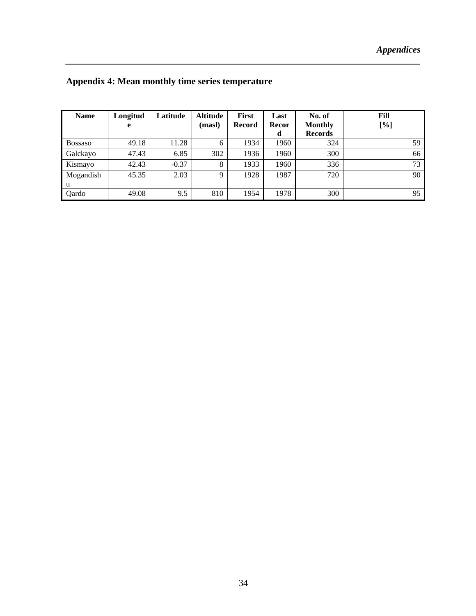| <b>Name</b> | Longitud | Latitude | <b>Altitude</b> | <b>First</b>  | Last  | No. of         | Fill |
|-------------|----------|----------|-----------------|---------------|-------|----------------|------|
|             | e        |          | (masl)          | <b>Record</b> | Recor | <b>Monthly</b> | [%]  |
|             |          |          |                 |               | d     | <b>Records</b> |      |
| Bossaso     | 49.18    | 11.28    | 6               | 1934          | 1960  | 324            | 59   |
| Galckayo    | 47.43    | 6.85     | 302             | 1936          | 1960  | 300            | 66   |
| Kismayo     | 42.43    | $-0.37$  | 8               | 1933          | 1960  | 336            | 73   |
| Mogandish   | 45.35    | 2.03     | $\mathbf Q$     | 1928          | 1987  | 720            | 90   |
| u           |          |          |                 |               |       |                |      |
| Qardo       | 49.08    | 9.5      | 810             | 1954          | 1978  | 300            | 95   |

*\_\_\_\_\_\_\_\_\_\_\_\_\_\_\_\_\_\_\_\_\_\_\_\_\_\_\_\_\_\_\_\_\_\_\_\_\_\_\_\_\_\_\_\_\_\_\_\_\_\_\_\_\_\_\_\_\_\_\_\_\_\_\_\_\_\_\_\_\_\_\_\_\_\_\_\_* 

## **Appendix 4: Mean monthly time series temperature**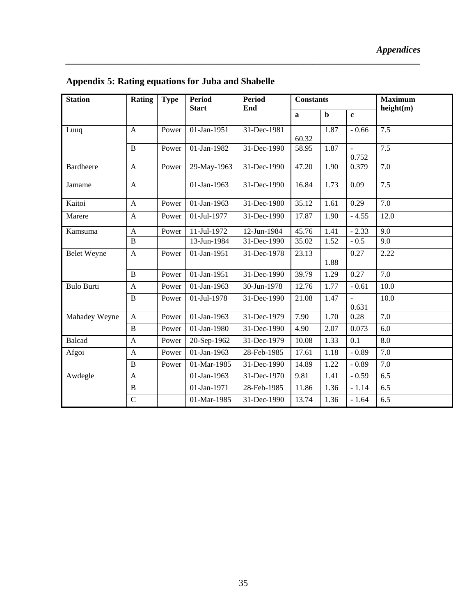| <b>Station</b>     | Rating         | <b>Type</b> | <b>Period</b><br><b>Start</b> | <b>Period</b><br>End | <b>Constants</b> |             |                         | <b>Maximum</b><br>height(m) |
|--------------------|----------------|-------------|-------------------------------|----------------------|------------------|-------------|-------------------------|-----------------------------|
|                    |                |             |                               |                      | $\mathbf{a}$     | $\mathbf b$ | $\mathbf{c}$            |                             |
| Luuq               | $\mathbf{A}$   | Power       | 01-Jan-1951                   | 31-Dec-1981          | 60.32            | 1.87        | $-0.66$                 | 7.5                         |
|                    | $\, {\bf B}$   | Power       | 01-Jan-1982                   | 31-Dec-1990          | 58.95            | 1.87        | $\overline{a}$<br>0.752 | 7.5                         |
| <b>Bardheere</b>   | $\mathbf{A}$   | Power       | 29-May-1963                   | 31-Dec-1990          | 47.20            | 1.90        | 0.379                   | 7.0                         |
| Jamame             | $\mathbf{A}$   |             | 01-Jan-1963                   | 31-Dec-1990          | 16.84            | 1.73        | 0.09                    | 7.5                         |
| Kaitoi             | $\mathbf{A}$   | Power       | 01-Jan-1963                   | 31-Dec-1980          | 35.12            | 1.61        | 0.29                    | 7.0                         |
| Marere             | $\mathbf{A}$   | Power       | 01-Jul-1977                   | 31-Dec-1990          | 17.87            | 1.90        | $-4.55$                 | 12.0                        |
| Kamsuma            | $\mathbf{A}$   | Power       | 11-Jul-1972                   | 12-Jun-1984          | 45.76            | 1.41        | $-2.33$                 | 9.0                         |
|                    | $\bf{B}$       |             | 13-Jun-1984                   | 31-Dec-1990          | 35.02            | 1.52        | $-0.5$                  | 9.0                         |
| <b>Belet Weyne</b> | $\mathbf{A}$   | Power       | 01-Jan-1951                   | 31-Dec-1978          | 23.13            | 1.88        | 0.27                    | 2.22                        |
|                    | $\mathbf{B}$   | Power       | 01-Jan-1951                   | 31-Dec-1990          | 39.79            | 1.29        | 0.27                    | 7.0                         |
| <b>Bulo Burti</b>  | $\mathbf{A}$   | Power       | 01-Jan-1963                   | 30-Jun-1978          | 12.76            | 1.77        | $-0.61$                 | 10.0                        |
|                    | $\, {\bf B}$   | Power       | 01-Jul-1978                   | 31-Dec-1990          | 21.08            | 1.47        | 0.631                   | 10.0                        |
| Mahadey Weyne      | A              | Power       | 01-Jan-1963                   | 31-Dec-1979          | 7.90             | 1.70        | 0.28                    | 7.0                         |
|                    | $\bf{B}$       | Power       | 01-Jan-1980                   | 31-Dec-1990          | 4.90             | 2.07        | 0.073                   | 6.0                         |
| <b>Balcad</b>      | A              | Power       | 20-Sep-1962                   | 31-Dec-1979          | 10.08            | 1.33        | 0.1                     | 8.0                         |
| Afgoi              | $\mathbf{A}$   | Power       | 01-Jan-1963                   | 28-Feb-1985          | 17.61            | 1.18        | $-0.89$                 | 7.0                         |
|                    | $\, {\bf B}$   | Power       | 01-Mar-1985                   | 31-Dec-1990          | 14.89            | 1.22        | $-0.89$                 | 7.0                         |
| Awdegle            | $\mathbf{A}$   |             | 01-Jan-1963                   | 31-Dec-1970          | 9.81             | 1.41        | $-0.59$                 | 6.5                         |
|                    | $\, {\bf B}$   |             | 01-Jan-1971                   | 28-Feb-1985          | 11.86            | 1.36        | $-1.14$                 | 6.5                         |
|                    | $\overline{C}$ |             | 01-Mar-1985                   | 31-Dec-1990          | 13.74            | 1.36        | $-1.64$                 | 6.5                         |

**Appendix 5: Rating equations for Juba and Shabelle**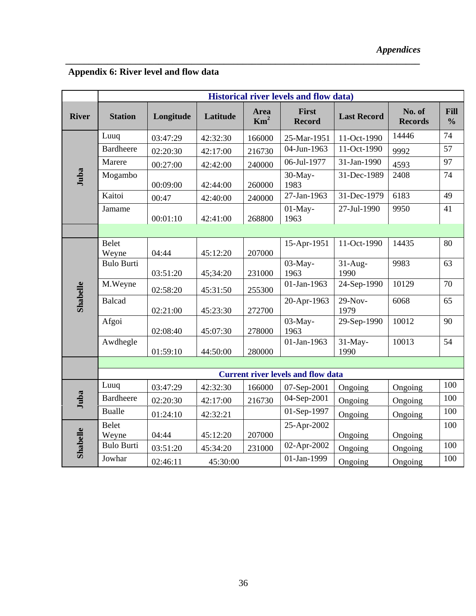## **Appendix 6: River level and flow data**

|              | <b>Historical river levels and flow data)</b> |           |          |                         |                        |                    |                          |                              |  |  |  |  |
|--------------|-----------------------------------------------|-----------|----------|-------------------------|------------------------|--------------------|--------------------------|------------------------------|--|--|--|--|
| <b>River</b> | <b>Station</b>                                | Longitude | Latitude | Area<br>Km <sup>2</sup> | First<br><b>Record</b> | <b>Last Record</b> | No. of<br><b>Records</b> | <b>Fill</b><br>$\frac{0}{0}$ |  |  |  |  |
| Juba         | Luuq                                          | 03:47:29  | 42:32:30 | 166000                  | 25-Mar-1951            | 11-Oct-1990        | 14446                    | 74                           |  |  |  |  |
|              | <b>Bardheere</b>                              | 02:20:30  | 42:17:00 | 216730                  | 04-Jun-1963            | 11-Oct-1990        | 9992                     | 57                           |  |  |  |  |
|              | Marere                                        | 00:27:00  | 42:42:00 | 240000                  | 06-Jul-1977            | 31-Jan-1990        | 4593                     | 97                           |  |  |  |  |
|              | Mogambo                                       | 00:09:00  | 42:44:00 | 260000                  | 30-May-<br>1983        | 31-Dec-1989        | 2408                     | 74                           |  |  |  |  |
|              | Kaitoi                                        | 00:47     | 42:40:00 | 240000                  | 27-Jan-1963            | 31-Dec-1979        | 6183                     | 49                           |  |  |  |  |
|              | Jamame                                        | 00:01:10  | 42:41:00 | 268800                  | $01$ -May-<br>1963     | 27-Jul-1990        | 9950                     | 41                           |  |  |  |  |
|              |                                               |           |          |                         |                        |                    |                          |                              |  |  |  |  |
| Shabelle     | <b>Belet</b><br>Weyne                         | 04:44     | 45:12:20 | 207000                  | 15-Apr-1951            | 11-Oct-1990        | 14435                    | 80                           |  |  |  |  |
|              | <b>Bulo Burti</b>                             | 03:51:20  | 45;34:20 | 231000                  | 03-May-<br>1963        | $31-Aug-$<br>1990  | 9983                     | 63                           |  |  |  |  |
|              | M.Weyne                                       | 02:58:20  | 45:31:50 | 255300                  | 01-Jan-1963            | 24-Sep-1990        | 10129                    | 70                           |  |  |  |  |
|              | <b>Balcad</b>                                 | 02:21:00  | 45:23:30 | 272700                  | 20-Apr-1963            | $29-Nov-$<br>1979  | 6068                     | 65                           |  |  |  |  |
|              | Afgoi                                         | 02:08:40  | 45:07:30 | 278000                  | 03-May-<br>1963        | 29-Sep-1990        | 10012                    | 90                           |  |  |  |  |
|              | Awdhegle                                      | 01:59:10  | 44:50:00 | 280000                  | 01-Jan-1963            | $31$ -May-<br>1990 | 10013                    | 54                           |  |  |  |  |
|              |                                               |           |          |                         |                        |                    |                          |                              |  |  |  |  |
|              | <b>Current river levels and flow data</b>     |           |          |                         |                        |                    |                          |                              |  |  |  |  |
| Juba         | Luuq                                          | 03:47:29  | 42:32:30 | 166000                  | 07-Sep-2001            | Ongoing            | Ongoing                  | 100                          |  |  |  |  |
|              | <b>Bardheere</b>                              | 02:20:30  | 42:17:00 | 216730                  | 04-Sep-2001            | Ongoing            | Ongoing                  | 100                          |  |  |  |  |
|              | <b>Bualle</b>                                 | 01:24:10  | 42:32:21 |                         | 01-Sep-1997            | Ongoing            | Ongoing                  | 100                          |  |  |  |  |
| Shabelle     | <b>Belet</b><br>Weyne                         | 04:44     | 45:12:20 | 207000                  | 25-Apr-2002            | Ongoing            | Ongoing                  | 100                          |  |  |  |  |
|              | <b>Bulo Burti</b>                             | 03:51:20  | 45:34:20 | 231000                  | 02-Apr-2002            | Ongoing            | Ongoing                  | 100                          |  |  |  |  |
|              | Jowhar                                        | 02:46:11  | 45:30:00 |                         | 01-Jan-1999            | Ongoing            | Ongoing                  | 100                          |  |  |  |  |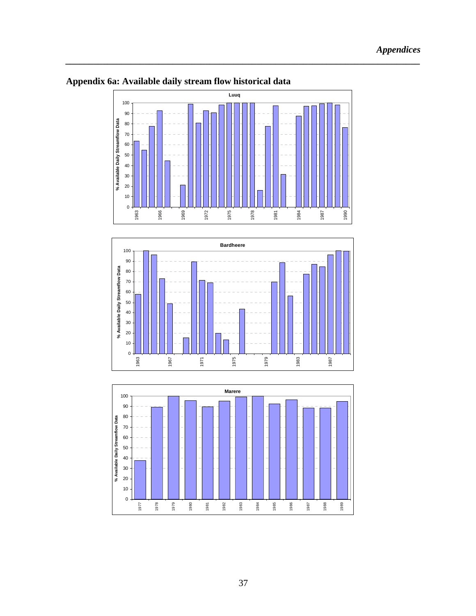

*\_\_\_\_\_\_\_\_\_\_\_\_\_\_\_\_\_\_\_\_\_\_\_\_\_\_\_\_\_\_\_\_\_\_\_\_\_\_\_\_\_\_\_\_\_\_\_\_\_\_\_\_\_\_\_\_\_\_\_\_\_\_\_\_\_\_\_\_\_\_\_\_\_\_\_\_* 

### **Appendix 6a: Available daily stream flow historical data**



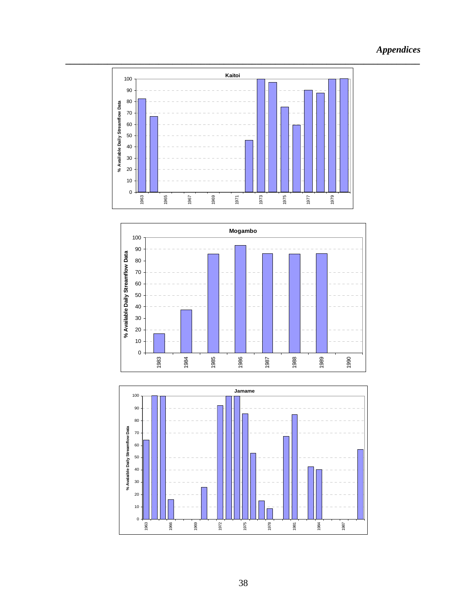## *Appendices*





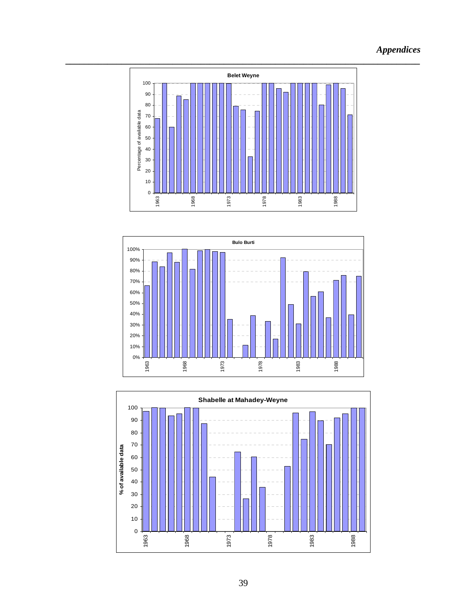## *Appendices*